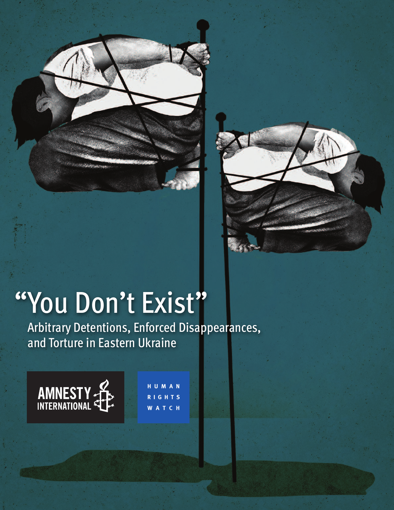

# "You Don't Exist"

*Charles Charles Company* 

Arbitrary Detentions, Enforced Disappearances, and Torture in Eastern Ukraine



**H U M A N R I G H T S W A T C H**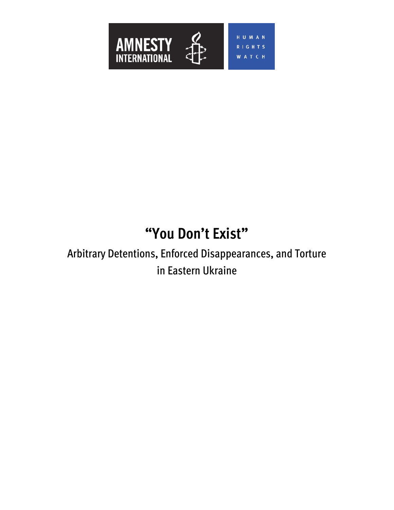

## **"You Don't Exist"**

## Arbitrary Detentions, Enforced Disappearances, and Torture in Eastern Ukraine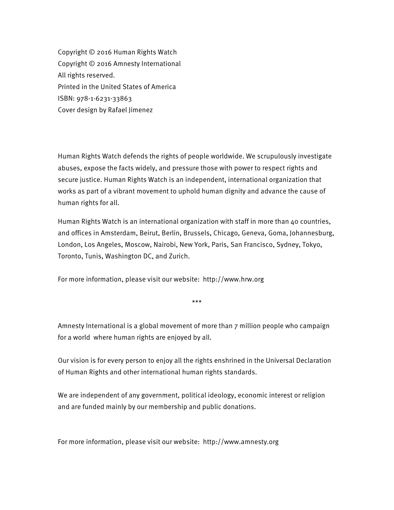Copyright © 2016 Human Rights Watch Copyright © 2016 Amnesty International All rights reserved. Printed in the United States of America ISBN: 978-1-6231-33863 Cover design by Rafael Jimenez

Human Rights Watch defends the rights of people worldwide. We scrupulously investigate abuses, expose the facts widely, and pressure those with power to respect rights and secure justice. Human Rights Watch is an independent, international organization that works as part of a vibrant movement to uphold human dignity and advance the cause of human rights for all.

Human Rights Watch is an international organization with staff in more than 40 countries, and offices in Amsterdam, Beirut, Berlin, Brussels, Chicago, Geneva, Goma, Johannesburg, London, Los Angeles, Moscow, Nairobi, New York, Paris, San Francisco, Sydney, Tokyo, Toronto, Tunis, Washington DC, and Zurich.

For more information, please visit our website: http://www.hrw.org

\*\*\*

Amnesty International is a global movement of more than 7 million people who campaign for a world where human rights are enjoyed by all.

Our vision is for every person to enjoy all the rights enshrined in the Universal Declaration of Human Rights and other international human rights standards.

We are independent of any government, political ideology, economic interest or religion and are funded mainly by our membership and public donations.

For more information, please visit our website: http://www.amnesty.org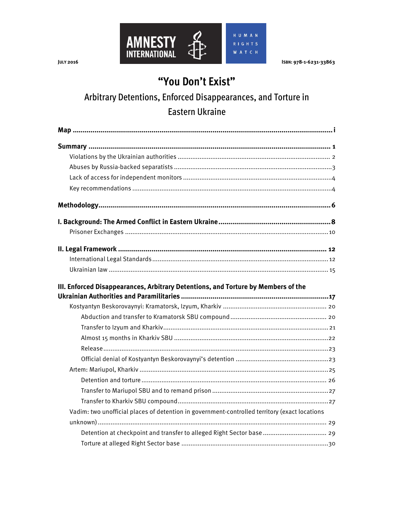

ISBN: 978-1-6231-33863

**JULY 2016** 

## "You Don't Exist"

## Arbitrary Detentions, Enforced Disappearances, and Torture in Eastern Ukraine

| III. Enforced Disappearances, Arbitrary Detentions, and Torture by Members of the             |  |
|-----------------------------------------------------------------------------------------------|--|
|                                                                                               |  |
|                                                                                               |  |
|                                                                                               |  |
|                                                                                               |  |
|                                                                                               |  |
|                                                                                               |  |
|                                                                                               |  |
|                                                                                               |  |
|                                                                                               |  |
|                                                                                               |  |
|                                                                                               |  |
| Vadim: two unofficial places of detention in government-controlled territory (exact locations |  |
|                                                                                               |  |
| Detention at checkpoint and transfer to alleged Right Sector base  29                         |  |
|                                                                                               |  |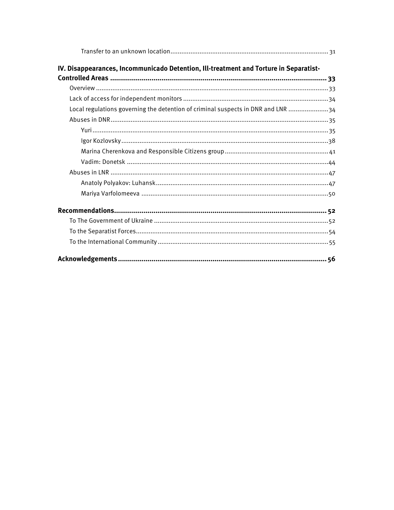| IV. Disappearances, Incommunicado Detention, Ill-treatment and Torture in Separatist- |
|---------------------------------------------------------------------------------------|
|                                                                                       |
|                                                                                       |
|                                                                                       |
| Local regulations governing the detention of criminal suspects in DNR and LNR 34      |
|                                                                                       |
|                                                                                       |
|                                                                                       |
|                                                                                       |
|                                                                                       |
|                                                                                       |
|                                                                                       |
|                                                                                       |
|                                                                                       |
|                                                                                       |
|                                                                                       |
|                                                                                       |
|                                                                                       |
|                                                                                       |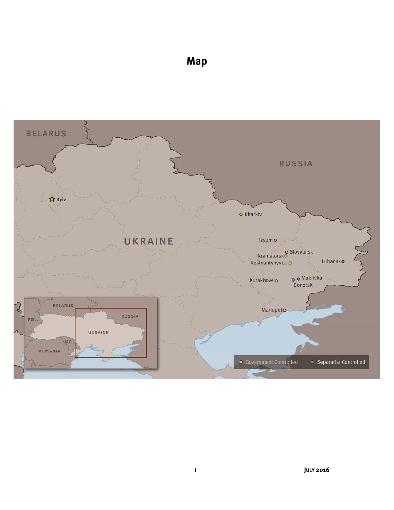## **Map**

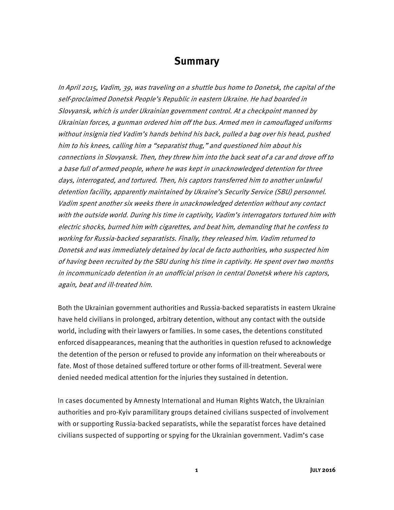#### **Summary**

In April 2015, Vadim, 39, was traveling on a shuttle bus home to Donetsk, the capital of the self-proclaimed Donetsk People's Republic in eastern Ukraine. He had boarded in Slovyansk, which is under Ukrainian government control. At a checkpoint manned by Ukrainian forces, a gunman ordered him off the bus. Armed men in camouflaged uniforms without insignia tied Vadim's hands behind his back, pulled a bag over his head, pushed him to his knees, calling him a "separatist thug," and questioned him about his connections in Slovyansk. Then, they threw him into the back seat of a car and drove off to a base full of armed people, where he was kept in unacknowledged detention for three days, interrogated, and tortured. Then, his captors transferred him to another unlawful detention facility, apparently maintained by Ukraine's Security Service (SBU) personnel. Vadim spent another six weeks there in unacknowledged detention without any contact with the outside world. During his time in captivity, Vadim's interrogators tortured him with electric shocks, burned him with cigarettes, and beat him, demanding that he confess to working for Russia-backed separatists. Finally, they released him. Vadim returned to Donetsk and was immediately detained by local de facto authorities, who suspected him of having been recruited by the SBU during his time in captivity. He spent over two months in incommunicado detention in an unofficial prison in central Donetsk where his captors, again, beat and ill-treated him.

Both the Ukrainian government authorities and Russia-backed separatists in eastern Ukraine have held civilians in prolonged, arbitrary detention, without any contact with the outside world, including with their lawyers or families. In some cases, the detentions constituted enforced disappearances, meaning that the authorities in question refused to acknowledge the detention of the person or refused to provide any information on their whereabouts or fate. Most of those detained suffered torture or other forms of ill-treatment. Several were denied needed medical attention for the injuries they sustained in detention.

In cases documented by Amnesty International and Human Rights Watch, the Ukrainian authorities and pro-Kyiv paramilitary groups detained civilians suspected of involvement with or supporting Russia-backed separatists, while the separatist forces have detained civilians suspected of supporting or spying for the Ukrainian government. Vadim's case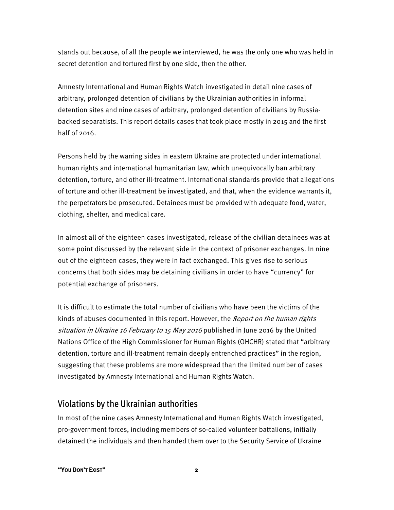stands out because, of all the people we interviewed, he was the only one who was held in secret detention and tortured first by one side, then the other.

Amnesty International and Human Rights Watch investigated in detail nine cases of arbitrary, prolonged detention of civilians by the Ukrainian authorities in informal detention sites and nine cases of arbitrary, prolonged detention of civilians by Russiabacked separatists. This report details cases that took place mostly in 2015 and the first half of 2016.

Persons held by the warring sides in eastern Ukraine are protected under international human rights and international humanitarian law, which unequivocally ban arbitrary detention, torture, and other ill-treatment. International standards provide that allegations of torture and other ill-treatment be investigated, and that, when the evidence warrants it, the perpetrators be prosecuted. Detainees must be provided with adequate food, water, clothing, shelter, and medical care.

In almost all of the eighteen cases investigated, release of the civilian detainees was at some point discussed by the relevant side in the context of prisoner exchanges. In nine out of the eighteen cases, they were in fact exchanged. This gives rise to serious concerns that both sides may be detaining civilians in order to have "currency" for potential exchange of prisoners.

It is difficult to estimate the total number of civilians who have been the victims of the kinds of abuses documented in this report. However, the Report on the human rights situation in Ukraine 16 February to 15 May 2016 published in June 2016 by the United Nations Office of the High Commissioner for Human Rights (OHCHR) stated that "arbitrary detention, torture and ill-treatment remain deeply entrenched practices" in the region, suggesting that these problems are more widespread than the limited number of cases investigated by Amnesty International and Human Rights Watch.

#### Violations by the Ukrainian authorities

In most of the nine cases Amnesty International and Human Rights Watch investigated, pro-government forces, including members of so-called volunteer battalions, initially detained the individuals and then handed them over to the Security Service of Ukraine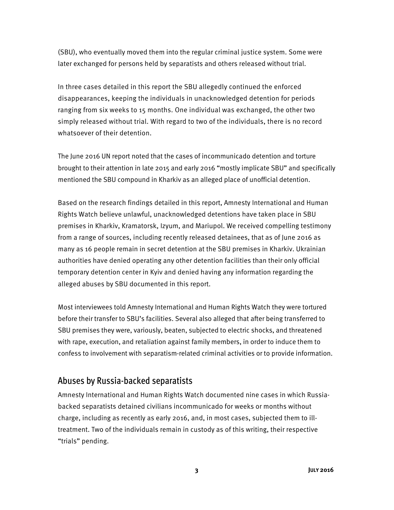(SBU), who eventually moved them into the regular criminal justice system. Some were later exchanged for persons held by separatists and others released without trial.

In three cases detailed in this report the SBU allegedly continued the enforced disappearances, keeping the individuals in unacknowledged detention for periods ranging from six weeks to 15 months. One individual was exchanged, the other two simply released without trial. With regard to two of the individuals, there is no record whatsoever of their detention.

The June 2016 UN report noted that the cases of incommunicado detention and torture brought to their attention in late 2015 and early 2016 "mostly implicate SBU" and specifically mentioned the SBU compound in Kharkiv as an alleged place of unofficial detention.

Based on the research findings detailed in this report, Amnesty International and Human Rights Watch believe unlawful, unacknowledged detentions have taken place in SBU premises in Kharkiv, Kramatorsk, Izyum, and Mariupol. We received compelling testimony from a range of sources, including recently released detainees, that as of June 2016 as many as 16 people remain in secret detention at the SBU premises in Kharkiv. Ukrainian authorities have denied operating any other detention facilities than their only official temporary detention center in Kyiv and denied having any information regarding the alleged abuses by SBU documented in this report.

Most interviewees told Amnesty International and Human Rights Watch they were tortured before their transfer to SBU's facilities. Several also alleged that after being transferred to SBU premises they were, variously, beaten, subjected to electric shocks, and threatened with rape, execution, and retaliation against family members, in order to induce them to confess to involvement with separatism-related criminal activities or to provide information.

#### Abuses by Russia-backed separatists

Amnesty International and Human Rights Watch documented nine cases in which Russiabacked separatists detained civilians incommunicado for weeks or months without charge, including as recently as early 2016, and, in most cases, subjected them to illtreatment. Two of the individuals remain in custody as of this writing, their respective "trials" pending.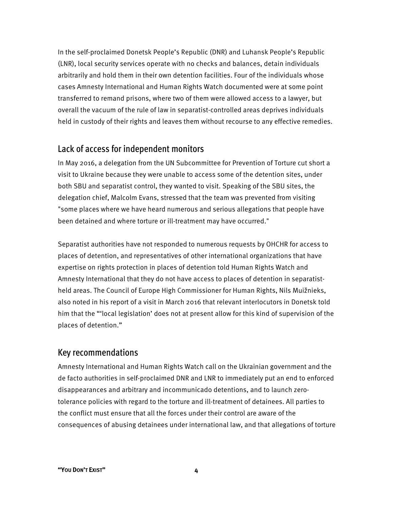In the self-proclaimed Donetsk People's Republic (DNR) and Luhansk People's Republic (LNR), local security services operate with no checks and balances, detain individuals arbitrarily and hold them in their own detention facilities. Four of the individuals whose cases Amnesty International and Human Rights Watch documented were at some point transferred to remand prisons, where two of them were allowed access to a lawyer, but overall the vacuum of the rule of law in separatist-controlled areas deprives individuals held in custody of their rights and leaves them without recourse to any effective remedies.

#### Lack of access for independent monitors

In May 2016, a delegation from the UN Subcommittee for Prevention of Torture cut short a visit to Ukraine because they were unable to access some of the detention sites, under both SBU and separatist control, they wanted to visit. Speaking of the SBU sites, the delegation chief, Malcolm Evans, stressed that the team was prevented from visiting "some places where we have heard numerous and serious allegations that people have been detained and where torture or ill-treatment may have occurred."

Separatist authorities have not responded to numerous requests by OHCHR for access to places of detention, and representatives of other international organizations that have expertise on rights protection in places of detention told Human Rights Watch and Amnesty International that they do not have access to places of detention in separatistheld areas. The Council of Europe High Commissioner for Human Rights, Nils Muižnieks, also noted in his report of a visit in March 2016 that relevant interlocutors in Donetsk told him that the "'local legislation' does not at present allow for this kind of supervision of the places of detention."

#### Key recommendations

Amnesty International and Human Rights Watch call on the Ukrainian government and the de facto authorities in self-proclaimed DNR and LNR to immediately put an end to enforced disappearances and arbitrary and incommunicado detentions, and to launch zerotolerance policies with regard to the torture and ill-treatment of detainees. All parties to the conflict must ensure that all the forces under their control are aware of the consequences of abusing detainees under international law, and that allegations of torture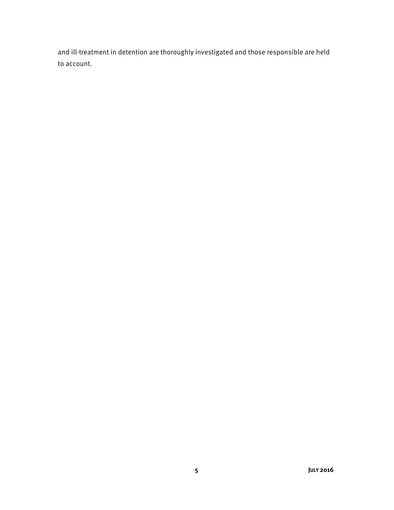and ill-treatment in detention are thoroughly investigated and those responsible are held to account.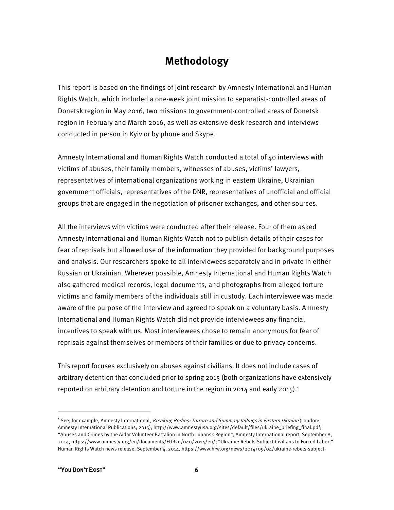## **Methodology**

This report is based on the findings of joint research by Amnesty International and Human Rights Watch, which included a one-week joint mission to separatist-controlled areas of Donetsk region in May 2016, two missions to government-controlled areas of Donetsk region in February and March 2016, as well as extensive desk research and interviews conducted in person in Kyiv or by phone and Skype.

Amnesty International and Human Rights Watch conducted a total of 40 interviews with victims of abuses, their family members, witnesses of abuses, victims' lawyers, representatives of international organizations working in eastern Ukraine, Ukrainian government officials, representatives of the DNR, representatives of unofficial and official groups that are engaged in the negotiation of prisoner exchanges, and other sources.

All the interviews with victims were conducted after their release. Four of them asked Amnesty International and Human Rights Watch not to publish details of their cases for fear of reprisals but allowed use of the information they provided for background purposes and analysis. Our researchers spoke to all interviewees separately and in private in either Russian or Ukrainian. Wherever possible, Amnesty International and Human Rights Watch also gathered medical records, legal documents, and photographs from alleged torture victims and family members of the individuals still in custody. Each interviewee was made aware of the purpose of the interview and agreed to speak on a voluntary basis. Amnesty International and Human Rights Watch did not provide interviewees any financial incentives to speak with us. Most interviewees chose to remain anonymous for fear of reprisals against themselves or members of their families or due to privacy concerns.

This report focuses exclusively on abuses against civilians. It does not include cases of arbitrary detention that concluded prior to spring 2015 (both organizations have extensively reported on arbitrary detention and torture in the region in 2014 and early 2015).<sup>1</sup>

**.** 

<sup>&</sup>lt;sup>1</sup> See, for example, Amnesty International, *Breaking Bodies: Torture and Summary Killings in Eastern Ukraine* (London: Amnesty International Publications, 2015), http://www.amnestyusa.org/sites/default/files/ukraine\_briefing\_final.pdf; "Abuses and Crimes by the Aidar Volunteer Battalion in North Luhansk Region", Amnesty International report, September 8, 2014, https://www.amnesty.org/en/documents/EUR50/040/2014/en/; "Ukraine: Rebels Subject Civilians to Forced Labor," Human Rights Watch news release, September 4, 2014, https://www.hrw.org/news/2014/09/04/ukraine-rebels-subject-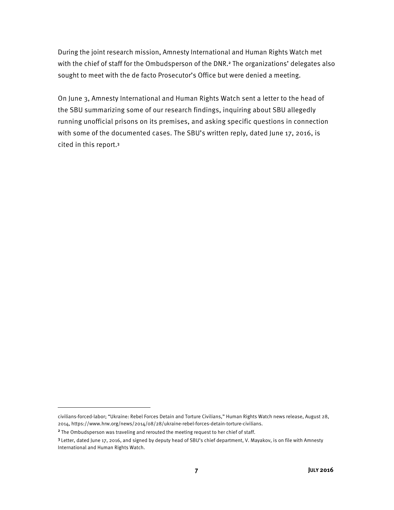During the joint research mission, Amnesty International and Human Rights Watch met with the chief of staff for the Ombudsperson of the DNR.<sup>2</sup> The organizations' delegates also sought to meet with the de facto Prosecutor's Office but were denied a meeting.

On June 3, Amnesty International and Human Rights Watch sent a letter to the head of the SBU summarizing some of our research findings, inquiring about SBU allegedly running unofficial prisons on its premises, and asking specific questions in connection with some of the documented cases. The SBU's written reply, dated June 17, 2016, is cited in this report.<sup>3</sup>

civilians-forced-labor; "Ukraine: Rebel Forces Detain and Torture Civilians," Human Rights Watch news release, August 28, 2014, https://www.hrw.org/news/2014/08/28/ukraine-rebel-forces-detain-torture-civilians.

<sup>&</sup>lt;sup>2</sup> The Ombudsperson was traveling and rerouted the meeting request to her chief of staff.

<sup>3</sup>Letter, dated June 17, 2016, and signed by deputy head of SBU's chief department, V. Mayakov, is on file with Amnesty International and Human Rights Watch.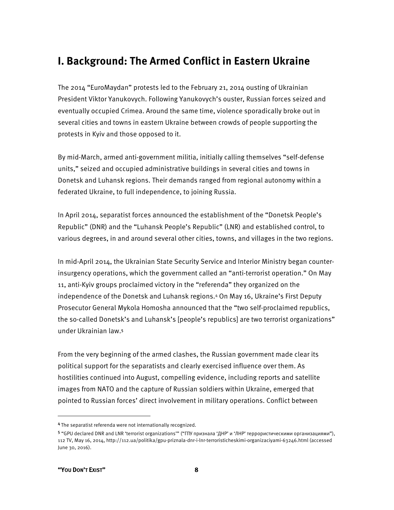## **I. Background: The Armed Conflict in Eastern Ukraine**

The 2014 "EuroMaydan" protests led to the February 21, 2014 ousting of Ukrainian President Viktor Yanukovych. Following Yanukovych's ouster, Russian forces seized and eventually occupied Crimea. Around the same time, violence sporadically broke out in several cities and towns in eastern Ukraine between crowds of people supporting the protests in Kyiv and those opposed to it.

By mid-March, armed anti-government militia, initially calling themselves "self-defense units," seized and occupied administrative buildings in several cities and towns in Donetsk and Luhansk regions. Their demands ranged from regional autonomy within a federated Ukraine, to full independence, to joining Russia.

In April 2014, separatist forces announced the establishment of the "Donetsk People's Republic" (DNR) and the "Luhansk People's Republic" (LNR) and established control, to various degrees, in and around several other cities, towns, and villages in the two regions.

In mid-April 2014, the Ukrainian State Security Service and Interior Ministry began counterinsurgency operations, which the government called an "anti-terrorist operation." On May 11, anti-Kyiv groups proclaimed victory in the "referenda" they organized on the independence of the Donetsk and Luhansk regions.4 On May 16, Ukraine's First Deputy Prosecutor General Mykola Homosha announced that the "two self-proclaimed republics, the so-called Donetsk's and Luhansk's [people's republics] are two terrorist organizations" under Ukrainian law.<sup>5</sup>

From the very beginning of the armed clashes, the Russian government made clear its political support for the separatists and clearly exercised influence over them. As hostilities continued into August, compelling evidence, including reports and satellite images from NATO and the capture of Russian soldiers within Ukraine, emerged that pointed to Russian forces' direct involvement in military operations. Conflict between

**.** 

<sup>4</sup>The separatist referenda were not internationally recognized.

<sup>5</sup> "GPU declared DNR and LNR 'terrorist organizations'" ("ГПУ признала 'ДНР' и 'ЛНР' террористическими организациями"), 112 TV, May 16, 2014, http://112.ua/politika/gpu-priznala-dnr-i-lnr-terroristicheskimi-organizaciyami-63246.html (accessed June 30, 2016).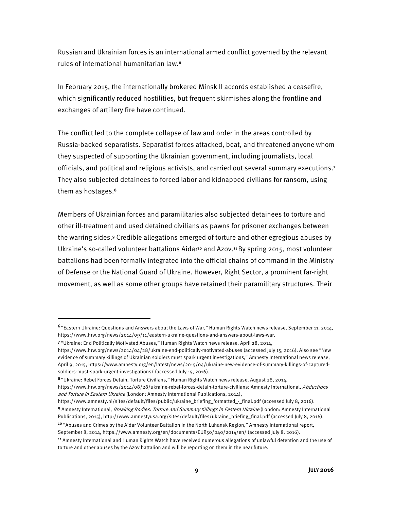Russian and Ukrainian forces is an international armed conflict governed by the relevant rules of international humanitarian law.<sup>6</sup>

In February 2015, the internationally brokered Minsk II accords established a ceasefire, which significantly reduced hostilities, but frequent skirmishes along the frontline and exchanges of artillery fire have continued.

The conflict led to the complete collapse of law and order in the areas controlled by Russia-backed separatists. Separatist forces attacked, beat, and threatened anyone whom they suspected of supporting the Ukrainian government, including journalists, local officials, and political and religious activists, and carried out several summary executions.7 They also subjected detainees to forced labor and kidnapped civilians for ransom, using them as hostages.<sup>8</sup>

Members of Ukrainian forces and paramilitaries also subjected detainees to torture and other ill-treatment and used detained civilians as pawns for prisoner exchanges between the warring sides.9 Credible allegations emerged of torture and other egregious abuses by Ukraine's so-called volunteer battalions Aidar<sup>10</sup> and Azov.<sup>11</sup> By spring 2015, most volunteer battalions had been formally integrated into the official chains of command in the Ministry of Defense or the National Guard of Ukraine. However, Right Sector, a prominent far-right movement, as well as some other groups have retained their paramilitary structures. Their

**.** 

<sup>6</sup> "Eastern Ukraine: Questions and Answers about the Laws of War," Human Rights Watch news release, September 11, 2014, https://www.hrw.org/news/2014/09/11/eastern-ukraine-questions-and-answers-about-laws-war.

<sup>7</sup>"Ukraine: End Politically Motivated Abuses," Human Rights Watch news release, April 28, 2014,

https://www.hrw.org/news/2014/04/28/ukraine-end-politically-motivated-abuses (accessed July 15, 2016). Also see "New evidence of summary killings of Ukrainian soldiers must spark urgent investigations," Amnesty International news release, April 9, 2015, https://www.amnesty.org/en/latest/news/2015/04/ukraine-new-evidence-of-summary-killings-of-capturedsoldiers-must-spark-urgent-investigations/ (accessed July 15, 2016).

<sup>8</sup> "Ukraine: Rebel Forces Detain, Torture Civilians," Human Rights Watch news release, August 28, 2014,

https://www.hrw.org/news/2014/08/28/ukraine-rebel-forces-detain-torture-civilians; Amnesty International, Abductions and Torture in Eastern Ukraine (London: Amnesty International Publications, 2014),

https://www.amnesty.nl/sites/default/files/public/ukraine\_briefing\_formatted\_-\_final.pdf (accessed July 8, 2016).

<sup>9</sup> Amnesty International, *Breaking Bodies: Torture and Summary Killings in Eastern Ukraine* (London: Amnesty International Publications, 2015), http://www.amnestyusa.org/sites/default/files/ukraine\_briefing\_final.pdf (accessed July 8, 2016).

<sup>&</sup>lt;sup>10</sup> "Abuses and Crimes by the Aidar Volunteer Battalion in the North Luhansk Region," Amnesty International report, September 8, 2014, https://www.amnesty.org/en/documents/EUR50/040/2014/en/ (accessed July 8, 2016).

<sup>11</sup>Amnesty International and Human Rights Watch have received numerous allegations of unlawful detention and the use of torture and other abuses by the Azov battalion and will be reporting on them in the near future.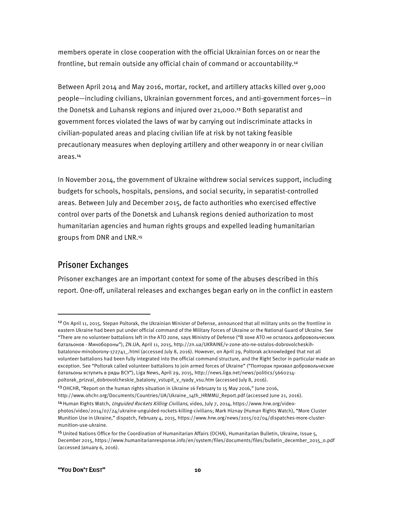members operate in close cooperation with the official Ukrainian forces on or near the frontline, but remain outside any official chain of command or accountability.<sup>12</sup>

Between April 2014 and May 2016, mortar, rocket, and artillery attacks killed over 9,000 people—including civilians, Ukrainian government forces, and anti-government forces—in the Donetsk and Luhansk regions and injured over 21,000.13 Both separatist and government forces violated the laws of war by carrying out indiscriminate attacks in civilian-populated areas and placing civilian life at risk by not taking feasible precautionary measures when deploying artillery and other weaponry in or near civilian areas.<sup>14</sup>

In November 2014, the government of Ukraine withdrew social services support, including budgets for schools, hospitals, pensions, and social security, in separatist-controlled areas. Between July and December 2015, de facto authorities who exercised effective control over parts of the Donetsk and Luhansk regions denied authorization to most humanitarian agencies and human rights groups and expelled leading humanitarian groups from DNR and LNR.<sup>15</sup>

#### Prisoner Exchanges

l

Prisoner exchanges are an important context for some of the abuses described in this report. One-off, unilateral releases and exchanges began early on in the conflict in eastern

<sup>&</sup>lt;sup>12</sup> On April 11, 2015, Stepan Poltorak, the Ukrainian Minister of Defense, announced that all military units on the frontline in eastern Ukraine had been put under official command of the Military Forces of Ukraine or the National Guard of Ukraine. See "There are no volunteer battalions left in the ATO zone, says Ministry of Defense ("В зоне АТО не осталось добровольческих батальонов - Минобороны"), ZN.UA, April 11, 2015, http://zn.ua/UKRAINE/v-zone-ato-ne-ostalos-dobrovolcheskihbatalonov-minoborony-172741\_.html (accessed July 8, 2016). However, on April 29, Poltorak acknowledged that not all volunteer battalions had been fully integrated into the official command structure, and the Right Sector in particular made an exception. See "Poltorak called volunteer battalions to join armed forces of Ukraine" ("Полторак призвал добровольческие батальоны вступить в ряды ВСУ"), Liga News, April 29, 2015, http://news.liga.net/news/politics/5660214 poltorak\_prizval\_dobrovolcheskie\_batalony\_vstupit\_v\_ryady\_vsu.htm (accessed July 8, 2016).

<sup>&</sup>lt;sup>13</sup> OHCHR, "Report on the human rights situation in Ukraine 16 February to 15 May 2016," June 2016, http://www.ohchr.org/Documents/Countries/UA/Ukraine\_14th\_HRMMU\_Report.pdf (accessed June 21, 2016).

<sup>&</sup>lt;sup>14</sup> Human Rights Watch, Unguided Rockets Killing Civilians, video, July 7, 2014, https://www.hrw.org/videophotos/video/2014/07/24/ukraine-unguided-rockets-killing-civilians; Mark Hiznay (Human Rights Watch), "More Cluster Munition Use in Ukraine," dispatch, February 4, 2015, https://www.hrw.org/news/2015/02/04/dispatches-more-clustermunition-use-ukraine.

<sup>&</sup>lt;sup>15</sup> United Nations Office for the Coordination of Humanitarian Affairs (OCHA), Humanitarian Bulletin, Ukraine, Issue 5, December 2015, https://www.humanitarianresponse.info/en/system/files/documents/files/bulletin\_december\_2015\_0.pdf (accessed January 6, 2016).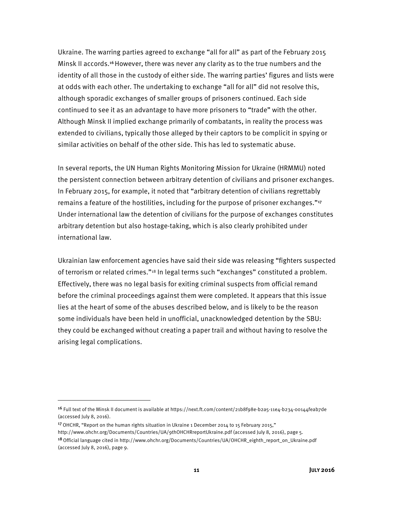Ukraine. The warring parties agreed to exchange "all for all" as part of the February 2015 Minsk II accords.16 However, there was never any clarity as to the true numbers and the identity of all those in the custody of either side. The warring parties' figures and lists were at odds with each other. The undertaking to exchange "all for all" did not resolve this, although sporadic exchanges of smaller groups of prisoners continued. Each side continued to see it as an advantage to have more prisoners to "trade" with the other. Although Minsk II implied exchange primarily of combatants, in reality the process was extended to civilians, typically those alleged by their captors to be complicit in spying or similar activities on behalf of the other side. This has led to systematic abuse.

In several reports, the UN Human Rights Monitoring Mission for Ukraine (HRMMU) noted the persistent connection between arbitrary detention of civilians and prisoner exchanges. In February 2015, for example, it noted that "arbitrary detention of civilians regrettably remains a feature of the hostilities, including for the purpose of prisoner exchanges."<sup>17</sup> Under international law the detention of civilians for the purpose of exchanges constitutes arbitrary detention but also hostage-taking, which is also clearly prohibited under international law.

Ukrainian law enforcement agencies have said their side was releasing "fighters suspected of terrorism or related crimes."18 In legal terms such "exchanges" constituted a problem. Effectively, there was no legal basis for exiting criminal suspects from official remand before the criminal proceedings against them were completed. It appears that this issue lies at the heart of some of the abuses described below, and is likely to be the reason some individuals have been held in unofficial, unacknowledged detention by the SBU: they could be exchanged without creating a paper trail and without having to resolve the arising legal complications.

**.** 

<sup>16</sup> Full text of the Minsk II document is available at https://next.ft.com/content/21b8f98e-b2a5-11e4-b234-00144feab7de (accessed July 8, 2016).

<sup>&</sup>lt;sup>17</sup> OHCHR, "Report on the human rights situation in Ukraine 1 December 2014 to 15 February 2015," http://www.ohchr.org/Documents/Countries/UA/9thOHCHRreportUkraine.pdf (accessed July 8, 2016), page 5.

<sup>18</sup>Official language cited in http://www.ohchr.org/Documents/Countries/UA/OHCHR\_eighth\_report\_on\_Ukraine.pdf (accessed July 8, 2016), page 9.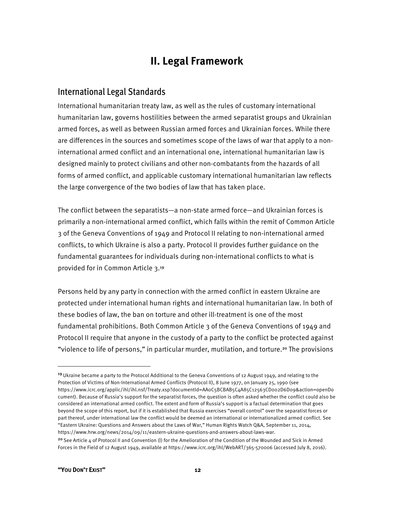## **II. Legal Framework**

#### International Legal Standards

International humanitarian treaty law, as well as the rules of customary international humanitarian law, governs hostilities between the armed separatist groups and Ukrainian armed forces, as well as between Russian armed forces and Ukrainian forces. While there are differences in the sources and sometimes scope of the laws of war that apply to a noninternational armed conflict and an international one, international humanitarian law is designed mainly to protect civilians and other non-combatants from the hazards of all forms of armed conflict, and applicable customary international humanitarian law reflects the large convergence of the two bodies of law that has taken place.

The conflict between the separatists—a non-state armed force—and Ukrainian forces is primarily a non-international armed conflict, which falls within the remit of Common Article 3 of the Geneva Conventions of 1949 and Protocol II relating to non-international armed conflicts, to which Ukraine is also a party. Protocol II provides further guidance on the fundamental guarantees for individuals during non-international conflicts to what is provided for in Common Article 3.<sup>19</sup>

Persons held by any party in connection with the armed conflict in eastern Ukraine are protected under international human rights and international humanitarian law. In both of these bodies of law, the ban on torture and other ill-treatment is one of the most fundamental prohibitions. Both Common Article 3 of the Geneva Conventions of 1949 and Protocol II require that anyone in the custody of a party to the conflict be protected against "violence to life of persons," in particular murder, mutilation, and torture.20 The provisions

l

<sup>&</sup>lt;sup>19</sup> Ukraine became a party to the Protocol Additional to the Geneva Conventions of 12 August 1949, and relating to the Protection of Victims of Non-International Armed Conflicts (Protocol II), 8 June 1977, on January 25, 1990 (see https://www.icrc.org/applic/ihl/ihl.nsf/Treaty.xsp?documentId=AA0C5BCBAB5C4A85C12563CD002D6D09&action=openDo cument). Because of Russia's support for the separatist forces, the question is often asked whether the conflict could also be considered an international armed conflict. The extent and form of Russia's support is a factual determination that goes beyond the scope of this report, but if it is established that Russia exercises "overall control" over the separatist forces or part thereof, under international law the conflict would be deemed an international or internationalized armed conflict. See "Eastern Ukraine: Questions and Answers about the Laws of War," Human Rights Watch Q&A, September 11, 2014, https://www.hrw.org/news/2014/09/11/eastern-ukraine-questions-and-answers-about-laws-war.

<sup>&</sup>lt;sup>20</sup> See Article 4 of Protocol II and Convention (I) for the Amelioration of the Condition of the Wounded and Sick in Armed Forces in the Field of 12 August 1949, available at https://www.icrc.org/ihl/WebART/365-570006 (accessed July 8, 2016).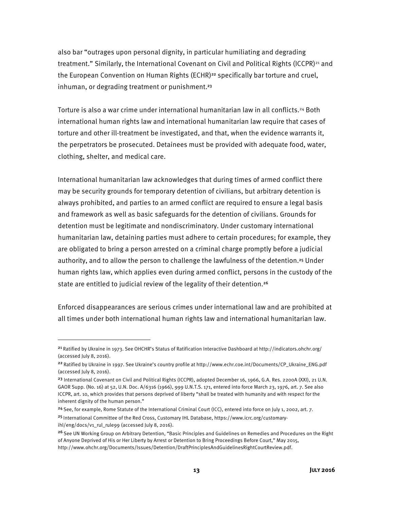also bar "outrages upon personal dignity, in particular humiliating and degrading treatment." Similarly, the International Covenant on Civil and Political Rights (ICCPR)<sup>21</sup> and the European Convention on Human Rights (ECHR)<sup>22</sup> specifically bar torture and cruel, inhuman, or degrading treatment or punishment.<sup>23</sup>

Torture is also a war crime under international humanitarian law in all conflicts.24 Both international human rights law and international humanitarian law require that cases of torture and other ill-treatment be investigated, and that, when the evidence warrants it, the perpetrators be prosecuted. Detainees must be provided with adequate food, water, clothing, shelter, and medical care.

International humanitarian law acknowledges that during times of armed conflict there may be security grounds for temporary detention of civilians, but arbitrary detention is always prohibited, and parties to an armed conflict are required to ensure a legal basis and framework as well as basic safeguards for the detention of civilians. Grounds for detention must be legitimate and nondiscriminatory. Under customary international humanitarian law, detaining parties must adhere to certain procedures; for example, they are obligated to bring a person arrested on a criminal charge promptly before a judicial authority, and to allow the person to challenge the lawfulness of the detention.25 Under human rights law, which applies even during armed conflict, persons in the custody of the state are entitled to judicial review of the legality of their detention.<sup>26</sup>

Enforced disappearances are serious crimes under international law and are prohibited at all times under both international human rights law and international humanitarian law.

<sup>25</sup> International Committee of the Red Cross, Customary IHL Database, https://www.icrc.org/customaryihl/eng/docs/v1\_rul\_rule99 (accessed July 8, 2016).

**.** 

<sup>&</sup>lt;sup>21</sup> Ratified by Ukraine in 1973. See OHCHR's Status of Ratification Interactive Dashboard at http://indicators.ohchr.org/ (accessed July 8, 2016).

<sup>&</sup>lt;sup>22</sup> Ratified by Ukraine in 1997. See Ukraine's country profile at http://www.echr.coe.int/Documents/CP\_Ukraine\_ENG.pdf (accessed July 8, 2016).

<sup>&</sup>lt;sup>23</sup> International Covenant on Civil and Political Rights (ICCPR), adopted December 16, 1966, G.A. Res. 2200A (XXI), 21 U.N. GAOR Supp. (No. 16) at 52, U.N. Doc. A/6316 (1966), 999 U.N.T.S. 171, entered into force March 23, 1976, art. 7. See also ICCPR, art. 10, which provides that persons deprived of liberty "shall be treated with humanity and with respect for the inherent dignity of the human person."

<sup>24</sup>See, for example, Rome Statute of the International Criminal Court (ICC), entered into force on July 1, 2002, art. 7.

<sup>&</sup>lt;sup>26</sup> See UN Working Group on Arbitrary Detention, "Basic Principles and Guidelines on Remedies and Procedures on the Right of Anyone Deprived of His or Her Liberty by Arrest or Detention to Bring Proceedings Before Court," May 2015, http://www.ohchr.org/Documents/Issues/Detention/DraftPrinciplesAndGuidelinesRightCourtReview.pdf.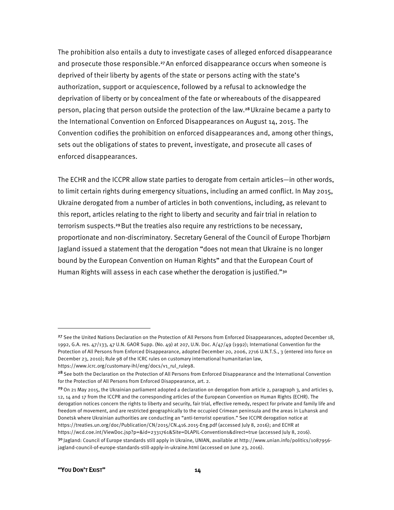The prohibition also entails a duty to investigate cases of alleged enforced disappearance and prosecute those responsible.<sup>27</sup> An enforced disappearance occurs when someone is deprived of their liberty by agents of the state or persons acting with the state's authorization, support or acquiescence, followed by a refusal to acknowledge the deprivation of liberty or by concealment of the fate or whereabouts of the disappeared person, placing that person outside the protection of the law.28 Ukraine became a party to the International Convention on Enforced Disappearances on August 14, 2015. The Convention codifies the prohibition on enforced disappearances and, among other things, sets out the obligations of states to prevent, investigate, and prosecute all cases of enforced disappearances.

The ECHR and the ICCPR allow state parties to derogate from certain articles—in other words, to limit certain rights during emergency situations, including an armed conflict. In May 2015, Ukraine derogated from a number of articles in both conventions, including, as relevant to this report, articles relating to the right to liberty and security and fair trial in relation to terrorism suspects.29 But the treaties also require any restrictions to be necessary, proportionate and non-discriminatory. Secretary General of the Council of Europe Thorbjørn Jagland issued a statement that the derogation "does not mean that Ukraine is no longer bound by the European Convention on Human Rights" and that the European Court of Human Rights will assess in each case whether the derogation is justified."<sup>30</sup>

**.** 

<sup>&</sup>lt;sup>27</sup> See the United Nations Declaration on the Protection of All Persons from Enforced Disappearances, adopted December 18, 1992, G.A. res. 47/133, 47 U.N. GAOR Supp. (No. 49) at 207, U.N. Doc. A/47/49 (1992); International Convention for the Protection of All Persons from Enforced Disappearance, adopted December 20, 2006, 2716 U.N.T.S., 3 (entered into force on December 23, 2010); Rule 98 of the ICRC rules on customary international humanitarian law, https://www.icrc.org/customary-ihl/eng/docs/v1\_rul\_rule98.

<sup>&</sup>lt;sup>28</sup> See both the Declaration on the Protection of All Persons from Enforced Disappearance and the International Convention for the Protection of All Persons from Enforced Disappearance, art. 2.

<sup>&</sup>lt;sup>29</sup> On 21 May 2015, the Ukrainian parliament adopted a declaration on derogation from article 2, paragraph 3, and articles 9, 12, 14 and 17 from the ICCPR and the corresponding articles of the European Convention on Human Rights (ECHR). The derogation notices concern the rights to liberty and security, fair trial, effective remedy, respect for private and family life and freedom of movement, and are restricted geographically to the occupied Crimean peninsula and the areas in Luhansk and Donetsk where Ukrainian authorities are conducting an "anti-terrorist operation." See ICCPR derogation notice at https://treaties.un.org/doc/Publication/CN/2015/CN.416.2015-Eng.pdf (accessed July 8, 2016); and ECHR at https://wcd.coe.int/ViewDoc.jsp?p=&id=2331761&Site=DLAPIL-Conventions&direct=true (accessed July 8, 2016).

<sup>3</sup>º Jagland: Council of Europe standards still apply in Ukraine, UNIAN, available at http://www.unian.info/politics/1087956jagland-council-of-europe-standards-still-apply-in-ukraine.html (accessed on June 23, 2016).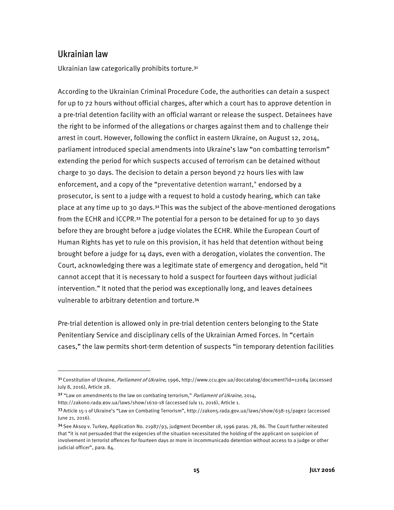#### Ukrainian law

**.** 

Ukrainian law categorically prohibits torture.<sup>31</sup>

According to the Ukrainian Criminal Procedure Code, the authorities can detain a suspect for up to 72 hours without official charges, after which a court has to approve detention in a pre-trial detention facility with an official warrant or release the suspect. Detainees have the right to be informed of the allegations or charges against them and to challenge their arrest in court. However, following the conflict in eastern Ukraine, on August 12, 2014, parliament introduced special amendments into Ukraine's law "on combatting terrorism" extending the period for which suspects accused of terrorism can be detained without charge to 30 days. The decision to detain a person beyond 72 hours lies with law enforcement, and a copy of the "preventative detention warrant," endorsed by a prosecutor, is sent to a judge with a request to hold a custody hearing, which can take place at any time up to 30 days.32 This was the subject of the above-mentioned derogations from the ECHR and ICCPR.33 The potential for a person to be detained for up to 30 days before they are brought before a judge violates the ECHR. While the European Court of Human Rights has yet to rule on this provision, it has held that detention without being brought before a judge for 14 days, even with a derogation, violates the convention. The Court, acknowledging there was a legitimate state of emergency and derogation, held "it cannot accept that it is necessary to hold a suspect for fourteen days without judicial intervention." It noted that the period was exceptionally long, and leaves detainees vulnerable to arbitrary detention and torture.<sup>34</sup>

Pre-trial detention is allowed only in pre-trial detention centers belonging to the State Penitentiary Service and disciplinary cells of the Ukrainian Armed Forces. In "certain cases," the law permits short-term detention of suspects "in temporary detention facilities

<sup>31</sup> Constitution of Ukraine, Parliament of Ukraine, 1996, http://www.ccu.gov.ua/doccatalog/document?id=12084 (accessed July 8, 2016), Article 28.

<sup>&</sup>lt;sup>32</sup> "Law on amendments to the law on combating terrorism," Parliament of Ukraine, 2014,

http://zakon0.rada.gov.ua/laws/show/1630-18 (accessed July 11, 2016), Article 1.

<sup>33</sup> Article 15-1 of Ukraine's "Law on Combating Terrorism", http://zakon5.rada.gov.ua/laws/show/638-15/page2 (accessed June 21, 2016).

<sup>34</sup> See Aksoy v. Turkey, Application No. 21987/93, judgment December 18, 1996 paras. 78, 86. The Court further reiterated that "it is not persuaded that the exigencies of the situation necessitated the holding of the applicant on suspicion of involvement in terrorist offences for fourteen days or more in incommunicado detention without access to a judge or other judicial officer", para. 84.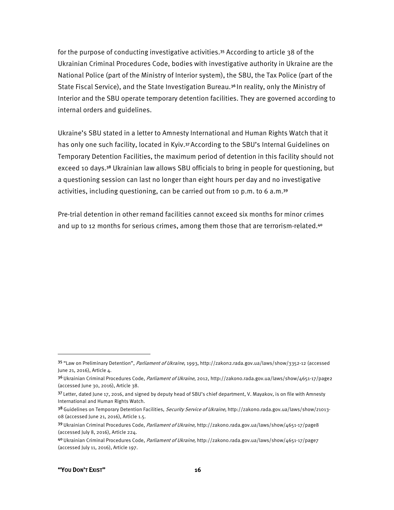for the purpose of conducting investigative activities.35 According to article 38 of the Ukrainian Criminal Procedures Code, bodies with investigative authority in Ukraine are the National Police (part of the Ministry of Interior system), the SBU, the Tax Police (part of the State Fiscal Service), and the State Investigation Bureau.36 In reality, only the Ministry of Interior and the SBU operate temporary detention facilities. They are governed according to internal orders and guidelines.

Ukraine's SBU stated in a letter to Amnesty International and Human Rights Watch that it has only one such facility, located in Kyiv.<sup>37</sup> According to the SBU's Internal Guidelines on Temporary Detention Facilities, the maximum period of detention in this facility should not exceed 10 days.38 Ukrainian law allows SBU officials to bring in people for questioning, but a questioning session can last no longer than eight hours per day and no investigative activities, including questioning, can be carried out from 10 p.m. to 6 a.m.<sup>39</sup>

Pre-trial detention in other remand facilities cannot exceed six months for minor crimes and up to 12 months for serious crimes, among them those that are terrorism-related.<sup>40</sup>

<sup>35 &</sup>quot;Law on Preliminary Detention", Parliament of Ukraine, 1993, http://zakon2.rada.gov.ua/laws/show/3352-12 (accessed June 21, 2016), Article 4.

<sup>36</sup> Ukrainian Criminal Procedures Code, Parliament of Ukraine, 2012, http://zakono.rada.gov.ua/laws/show/4651-17/page2 (accessed June 30, 2016), Article 38.

<sup>37</sup> Letter, dated June 17, 2016, and signed by deputy head of SBU's chief department, V. Mayakov, is on file with Amnesty International and Human Rights Watch.

<sup>38</sup> Guidelines on Temporary Detention Facilities, Security Service of Ukraine, http://zakono.rada.gov.ua/laws/show/z1013-08 (accessed June 21, 2016), Article 1.5.

<sup>39</sup> Ukrainian Criminal Procedures Code, Parliament of Ukraine, http://zakono.rada.gov.ua/laws/show/4651-17/page8 (accessed July 8, 2016), Article 224.

<sup>4&</sup>lt;sup>0</sup> Ukrainian Criminal Procedures Code, *Parliament of Ukraine*, http://zakono.rada.gov.ua/laws/show/4651-17/page7 (accessed July 11, 2016), Article 197.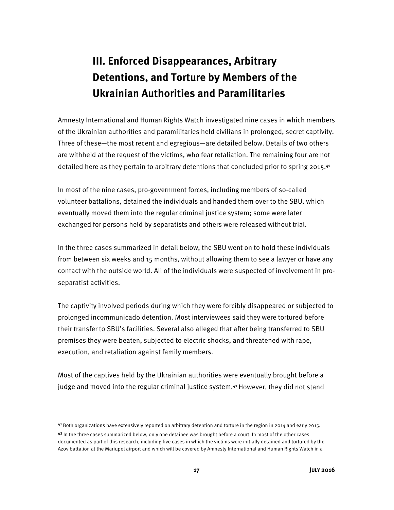## **III. Enforced Disappearances, Arbitrary Detentions, and Torture by Members of the Ukrainian Authorities and Paramilitaries**

Amnesty International and Human Rights Watch investigated nine cases in which members of the Ukrainian authorities and paramilitaries held civilians in prolonged, secret captivity. Three of these—the most recent and egregious—are detailed below. Details of two others are withheld at the request of the victims, who fear retaliation. The remaining four are not detailed here as they pertain to arbitrary detentions that concluded prior to spring 2015.<sup>41</sup>

In most of the nine cases, pro-government forces, including members of so-called volunteer battalions, detained the individuals and handed them over to the SBU, which eventually moved them into the regular criminal justice system; some were later exchanged for persons held by separatists and others were released without trial.

In the three cases summarized in detail below, the SBU went on to hold these individuals from between six weeks and 15 months, without allowing them to see a lawyer or have any contact with the outside world. All of the individuals were suspected of involvement in proseparatist activities.

The captivity involved periods during which they were forcibly disappeared or subjected to prolonged incommunicado detention. Most interviewees said they were tortured before their transfer to SBU's facilities. Several also alleged that after being transferred to SBU premises they were beaten, subjected to electric shocks, and threatened with rape, execution, and retaliation against family members.

Most of the captives held by the Ukrainian authorities were eventually brought before a judge and moved into the regular criminal justice system.42 However, they did not stand

<sup>41</sup> Both organizations have extensively reported on arbitrary detention and torture in the region in 2014 and early 2015.

<sup>42</sup> In the three cases summarized below, only one detainee was brought before a court. In most of the other cases documented as part of this research, including five cases in which the victims were initially detained and tortured by the Azov battalion at the Mariupol airport and which will be covered by Amnesty International and Human Rights Watch in a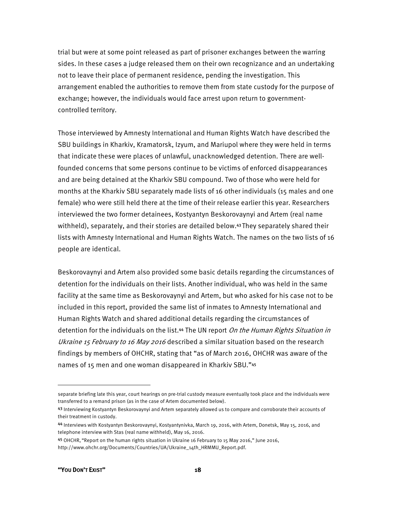trial but were at some point released as part of prisoner exchanges between the warring sides. In these cases a judge released them on their own recognizance and an undertaking not to leave their place of permanent residence, pending the investigation. This arrangement enabled the authorities to remove them from state custody for the purpose of exchange; however, the individuals would face arrest upon return to governmentcontrolled territory.

Those interviewed by Amnesty International and Human Rights Watch have described the SBU buildings in Kharkiv, Kramatorsk, Izyum, and Mariupol where they were held in terms that indicate these were places of unlawful, unacknowledged detention. There are wellfounded concerns that some persons continue to be victims of enforced disappearances and are being detained at the Kharkiv SBU compound. Two of those who were held for months at the Kharkiv SBU separately made lists of 16 other individuals (15 males and one female) who were still held there at the time of their release earlier this year. Researchers interviewed the two former detainees, Kostyantyn Beskorovaynyi and Artem (real name withheld), separately, and their stories are detailed below.43 They separately shared their lists with Amnesty International and Human Rights Watch. The names on the two lists of 16 people are identical.

Beskorovaynyi and Artem also provided some basic details regarding the circumstances of detention for the individuals on their lists. Another individual, who was held in the same facility at the same time as Beskorovaynyi and Artem, but who asked for his case not to be included in this report, provided the same list of inmates to Amnesty International and Human Rights Watch and shared additional details regarding the circumstances of detention for the individuals on the list.<sup>44</sup> The UN report On the Human Rights Situation in Ukraine 15 February to 16 May 2016 described a similar situation based on the research findings by members of OHCHR, stating that "as of March 2016, OHCHR was aware of the names of 15 men and one woman disappeared in Kharkiv SBU."<sup>45</sup>

separate briefing late this year, court hearings on pre-trial custody measure eventually took place and the individuals were transferred to a remand prison (as in the case of Artem documented below).

<sup>43</sup> Interviewing Kostyantyn Beskorovaynyi and Artem separately allowed us to compare and corroborate their accounts of their treatment in custody.

<sup>44</sup> Interviews with Kostyantyn Beskorovaynyi, Kostyantynivka, March 19, 2016, with Artem, Donetsk, May 15, 2016, and telephone interview with Stas (real name withheld), May 16, 2016.

<sup>45</sup> OHCHR, "Report on the human rights situation in Ukraine 16 February to 15 May 2016," June 2016, http://www.ohchr.org/Documents/Countries/UA/Ukraine\_14th\_HRMMU\_Report.pdf.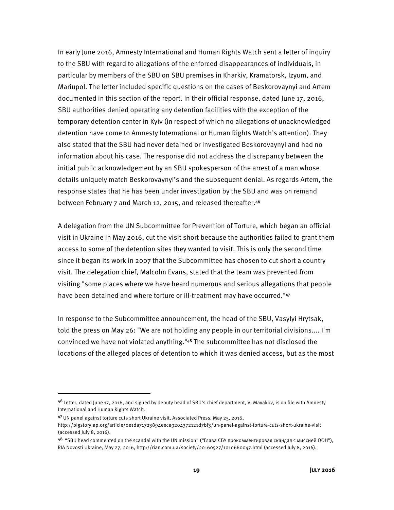In early June 2016, Amnesty International and Human Rights Watch sent a letter of inquiry to the SBU with regard to allegations of the enforced disappearances of individuals, in particular by members of the SBU on SBU premises in Kharkiv, Kramatorsk, Izyum, and Mariupol. The letter included specific questions on the cases of Beskorovaynyi and Artem documented in this section of the report. In their official response, dated June 17, 2016, SBU authorities denied operating any detention facilities with the exception of the temporary detention center in Kyiv (in respect of which no allegations of unacknowledged detention have come to Amnesty International or Human Rights Watch's attention). They also stated that the SBU had never detained or investigated Beskorovaynyi and had no information about his case. The response did not address the discrepancy between the initial public acknowledgement by an SBU spokesperson of the arrest of a man whose details uniquely match Beskorovaynyi's and the subsequent denial. As regards Artem, the response states that he has been under investigation by the SBU and was on remand between February 7 and March 12, 2015, and released thereafter.46

A delegation from the UN Subcommittee for Prevention of Torture, which began an official visit in Ukraine in May 2016, cut the visit short because the authorities failed to grant them access to some of the detention sites they wanted to visit. This is only the second time since it began its work in 2007 that the Subcommittee has chosen to cut short a country visit. The delegation chief, Malcolm Evans, stated that the team was prevented from visiting "some places where we have heard numerous and serious allegations that people have been detained and where torture or ill-treatment may have occurred."<sup>47</sup>

In response to the Subcommittee announcement, the head of the SBU, Vasylyi Hrytsak, told the press on May 26: "We are not holding any people in our territorial divisions.... I'm convinced we have not violated anything."48 The subcommittee has not disclosed the locations of the alleged places of detention to which it was denied access, but as the most

l

<sup>4&</sup>lt;sup>6</sup> Letter, dated June 17, 2016, and signed by deputy head of SBU's chief department, V. Mayakov, is on file with Amnesty International and Human Rights Watch.

<sup>47</sup>UN panel against torture cuts short Ukraine visit, Associated Press, May 25, 2016, http://bigstory.ap.org/article/0e1da71723894eeca9204372121d7bf3/un-panel-against-torture-cuts-short-ukraine-visit (accessed July 8, 2016).

<sup>&</sup>lt;sup>48</sup> "SBU head commented on the scandal with the UN mission" ("Глава СБУ прокомментировал скандал с миссией ООН"), RIA Novosti Ukraine, May 27, 2016, http://rian.com.ua/society/20160527/1010660047.html (accessed July 8, 2016).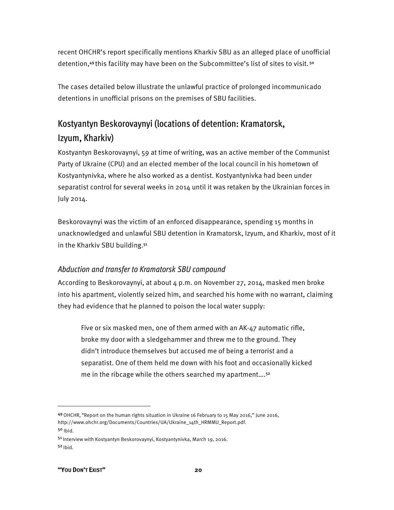recent OHCHR's report specifically mentions Kharkiv SBU as an alleged place of unofficial detention, 49 this facility may have been on the Subcommittee's list of sites to visit. 50

The cases detailed below illustrate the unlawful practice of prolonged incommunicado detentions in unofficial prisons on the premises of SBU facilities.

### Kostyantyn Beskorovaynyi (locations of detention: Kramatorsk, Izyum, Kharkiv)

Kostyantyn Beskorovaynyi, 59 at time of writing, was an active member of the Communist Party of Ukraine (CPU) and an elected member of the local council in his hometown of Kostyantynivka, where he also worked as a dentist. Kostyantynivka had been under separatist control for several weeks in 2014 until it was retaken by the Ukrainian forces in July 2014.

Beskorovaynyi was the victim of an enforced disappearance, spending 15 months in unacknowledged and unlawful SBU detention in Kramatorsk, Izyum, and Kharkiv, most of it in the Kharkiv SBU building.<sup>51</sup>

#### Abduction and transfer to Kramatorsk SBU compound

According to Beskorovaynyi, at about 4 p.m. on November 27, 2014, masked men broke into his apartment, violently seized him, and searched his home with no warrant, claiming they had evidence that he planned to poison the local water supply:

Five or six masked men, one of them armed with an AK-47 automatic rifle, broke my door with a sledgehammer and threw me to the ground. They didn't introduce themselves but accused me of being a terrorist and a separatist. One of them held me down with his foot and occasionally kicked me in the ribcage while the others searched my apartment….<sup>52</sup>

<sup>49</sup>OHCHR, "Report on the human rights situation in Ukraine 16 February to 15 May 2016," June 2016, http://www.ohchr.org/Documents/Countries/UA/Ukraine\_14th\_HRMMU\_Report.pdf.

<sup>50</sup> Ibid.

<sup>51</sup> Interview with Kostyantyn Beskorovaynyi, Kostyantynivka, March 19, 2016.  $5<sup>2</sup>$  Ibid.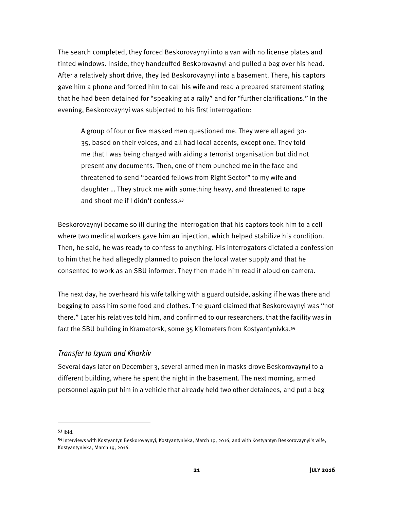The search completed, they forced Beskorovaynyi into a van with no license plates and tinted windows. Inside, they handcuffed Beskorovaynyi and pulled a bag over his head. After a relatively short drive, they led Beskorovaynyi into a basement. There, his captors gave him a phone and forced him to call his wife and read a prepared statement stating that he had been detained for "speaking at a rally" and for "further clarifications." In the evening, Beskorovaynyi was subjected to his first interrogation:

A group of four or five masked men questioned me. They were all aged 30- 35, based on their voices, and all had local accents, except one. They told me that I was being charged with aiding a terrorist organisation but did not present any documents. Then, one of them punched me in the face and threatened to send "bearded fellows from Right Sector" to my wife and daughter … They struck me with something heavy, and threatened to rape and shoot me if I didn't confess.<sup>53</sup>

Beskorovaynyi became so ill during the interrogation that his captors took him to a cell where two medical workers gave him an injection, which helped stabilize his condition. Then, he said, he was ready to confess to anything. His interrogators dictated a confession to him that he had allegedly planned to poison the local water supply and that he consented to work as an SBU informer. They then made him read it aloud on camera.

The next day, he overheard his wife talking with a guard outside, asking if he was there and begging to pass him some food and clothes. The guard claimed that Beskorovaynyi was "not there." Later his relatives told him, and confirmed to our researchers, that the facility was in fact the SBU building in Kramatorsk, some 35 kilometers from Kostyantynivka.<sup>54</sup>

#### Transfer to Izyum and Kharkiv

Several days later on December 3, several armed men in masks drove Beskorovaynyi to a different building, where he spent the night in the basement. The next morning, armed personnel again put him in a vehicle that already held two other detainees, and put a bag

<sup>53</sup> Ibid.

<sup>54</sup> Interviews with Kostyantyn Beskorovaynyi, Kostyantynivka, March 19, 2016, and with Kostyantyn Beskorovaynyi's wife, Kostyantynivka, March 19, 2016.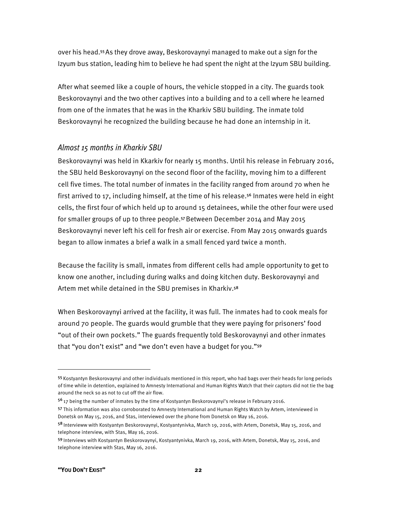over his head.55 As they drove away, Beskorovaynyi managed to make out a sign for the Izyum bus station, leading him to believe he had spent the night at the Izyum SBU building.

After what seemed like a couple of hours, the vehicle stopped in a city. The guards took Beskorovaynyi and the two other captives into a building and to a cell where he learned from one of the inmates that he was in the Kharkiv SBU building. The inmate told Beskorovaynyi he recognized the building because he had done an internship in it.

#### Almost 15 months in Kharkiv SBU

Beskorovaynyi was held in Kkarkiv for nearly 15 months. Until his release in February 2016, the SBU held Beskorovaynyi on the second floor of the facility, moving him to a different cell five times. The total number of inmates in the facility ranged from around 70 when he first arrived to 17, including himself, at the time of his release.<sup>56</sup> Inmates were held in eight cells, the first four of which held up to around 15 detainees, while the other four were used for smaller groups of up to three people.57 Between December 2014 and May 2015 Beskorovaynyi never left his cell for fresh air or exercise. From May 2015 onwards guards began to allow inmates a brief a walk in a small fenced yard twice a month.

Because the facility is small, inmates from different cells had ample opportunity to get to know one another, including during walks and doing kitchen duty. Beskorovaynyi and Artem met while detained in the SBU premises in Kharkiv.<sup>58</sup>

When Beskorovaynyi arrived at the facility, it was full. The inmates had to cook meals for around 70 people. The guards would grumble that they were paying for prisoners' food "out of their own pockets." The guards frequently told Beskorovaynyi and other inmates that "you don't exist" and "we don't even have a budget for you."<sup>59</sup>

<sup>55</sup> Kostyantyn Beskorovaynyi and other individuals mentioned in this report, who had bags over their heads for long periods of time while in detention, explained to Amnesty International and Human Rights Watch that their captors did not tie the bag around the neck so as not to cut off the air flow.

<sup>56</sup>17 being the number of inmates by the time of Kostyantyn Beskorovaynyi's release in February 2016.

<sup>57</sup> This information was also corroborated to Amnesty International and Human Rights Watch by Artem, interviewed in Donetsk on May 15, 2016, and Stas, interviewed over the phone from Donetsk on May 16, 2016.

<sup>58</sup> Intervieww with Kostyantyn Beskorovaynyi, Kostyantynivka, March 19, 2016, with Artem, Donetsk, May 15, 2016, and telephone interview, with Stas, May 16, 2016.

<sup>59</sup> Interviews with Kostyantyn Beskorovaynyi, Kostyantynivka, March 19, 2016, with Artem, Donetsk, May 15, 2016, and telephone interview with Stas, May 16, 2016.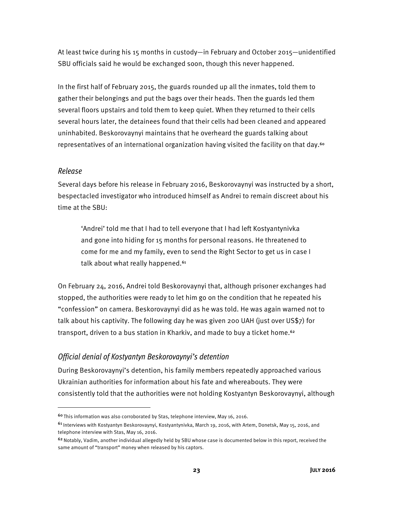At least twice during his 15 months in custody—in February and October 2015—unidentified SBU officials said he would be exchanged soon, though this never happened.

In the first half of February 2015, the guards rounded up all the inmates, told them to gather their belongings and put the bags over their heads. Then the guards led them several floors upstairs and told them to keep quiet. When they returned to their cells several hours later, the detainees found that their cells had been cleaned and appeared uninhabited. Beskorovaynyi maintains that he overheard the guards talking about representatives of an international organization having visited the facility on that day.<sup>60</sup>

#### Release

 $\overline{\phantom{a}}$ 

Several days before his release in February 2016, Beskorovaynyi was instructed by a short, bespectacled investigator who introduced himself as Andrei to remain discreet about his time at the SBU:

'Andrei' told me that I had to tell everyone that I had left Kostyantynivka and gone into hiding for 15 months for personal reasons. He threatened to come for me and my family, even to send the Right Sector to get us in case I talk about what really happened.<sup>61</sup>

On February 24, 2016, Andrei told Beskorovaynyi that, although prisoner exchanges had stopped, the authorities were ready to let him go on the condition that he repeated his "confession" on camera. Beskorovaynyi did as he was told. He was again warned not to talk about his captivity. The following day he was given 200 UAH (just over US\$7) for transport, driven to a bus station in Kharkiv, and made to buy a ticket home.<sup>62</sup>

#### Official denial of Kostyantyn Beskorovaynyi's detention

During Beskorovaynyi's detention, his family members repeatedly approached various Ukrainian authorities for information about his fate and whereabouts. They were consistently told that the authorities were not holding Kostyantyn Beskorovaynyi, although

<sup>60</sup>This information was also corroborated by Stas, telephone interview, May 16, 2016.

 $61$ Interviews with Kostyantyn Beskorovaynyi, Kostyantynivka, March 19, 2016, with Artem, Donetsk, May 15, 2016, and telephone interview with Stas, May 16, 2016.

<sup>&</sup>lt;sup>62</sup> Notably. Vadim, another individual allegedly held by SBU whose case is documented below in this report, received the same amount of "transport" money when released by his captors.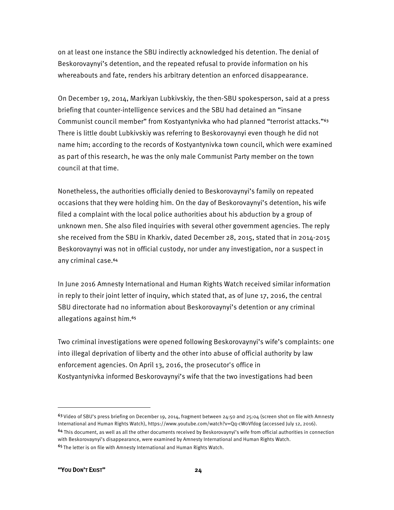on at least one instance the SBU indirectly acknowledged his detention. The denial of Beskorovaynyi's detention, and the repeated refusal to provide information on his whereabouts and fate, renders his arbitrary detention an enforced disappearance.

On December 19, 2014, Markiyan Lubkivskiy, the then-SBU spokesperson, said at a press briefing that counter-intelligence services and the SBU had detained an "insane Communist council member" from Kostyantynivka who had planned "terrorist attacks."<sup>63</sup> There is little doubt Lubkivskiy was referring to Beskorovaynyi even though he did not name him; according to the records of Kostyantynivka town council, which were examined as part of this research, he was the only male Communist Party member on the town council at that time.

Nonetheless, the authorities officially denied to Beskorovaynyi's family on repeated occasions that they were holding him. On the day of Beskorovaynyi's detention, his wife filed a complaint with the local police authorities about his abduction by a group of unknown men. She also filed inquiries with several other government agencies. The reply she received from the SBU in Kharkiv, dated December 28, 2015, stated that in 2014-2015 Beskorovaynyi was not in official custody, nor under any investigation, nor a suspect in any criminal case.<sup>64</sup>

In June 2016 Amnesty International and Human Rights Watch received similar information in reply to their joint letter of inquiry, which stated that, as of June 17, 2016, the central SBU directorate had no information about Beskorovaynyi's detention or any criminal allegations against him.<sup>65</sup>

Two criminal investigations were opened following Beskorovaynyi's wife's complaints: one into illegal deprivation of liberty and the other into abuse of official authority by law enforcement agencies. On April 13, 2016, the prosecutor's office in Kostyantynivka informed Beskorovaynyi's wife that the two investigations had been

<sup>&</sup>lt;sup>63</sup> Video of SBU's press briefing on December 19, 2014, fragment between 24:50 and 25:04 (screen shot on file with Amnesty International and Human Rights Watch), https://www.youtube.com/watch?v=Qq-cW0Vfdog (accessed July 12, 2016). <sup>64</sup> This document, as well as all the other documents received by Beskorovaynyi's wife from official authorities in connection with Beskorovaynyi's disappearance, were examined by Amnesty International and Human Rights Watch.

<sup>65</sup>The letter is on file with Amnesty International and Human Rights Watch.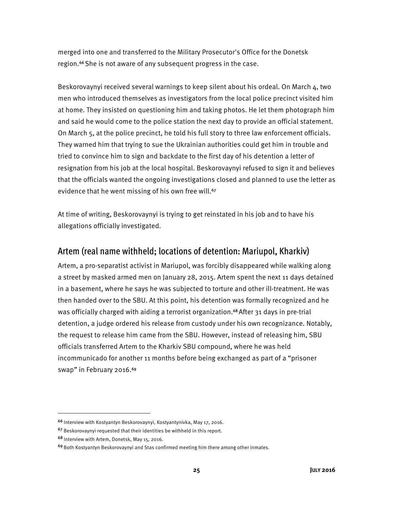merged into one and transferred to the Military Prosecutor's Office for the Donetsk region.66 She is not aware of any subsequent progress in the case.

Beskorovaynyi received several warnings to keep silent about his ordeal. On March 4, two men who introduced themselves as investigators from the local police precinct visited him at home. They insisted on questioning him and taking photos. He let them photograph him and said he would come to the police station the next day to provide an official statement. On March 5, at the police precinct, he told his full story to three law enforcement officials. They warned him that trying to sue the Ukrainian authorities could get him in trouble and tried to convince him to sign and backdate to the first day of his detention a letter of resignation from his job at the local hospital. Beskorovaynyi refused to sign it and believes that the officials wanted the ongoing investigations closed and planned to use the letter as evidence that he went missing of his own free will.<sup>67</sup>

At time of writing, Beskorovaynyi is trying to get reinstated in his job and to have his allegations officially investigated.

#### Artem (real name withheld; locations of detention: Mariupol, Kharkiv)

Artem, a pro-separatist activist in Mariupol, was forcibly disappeared while walking along a street by masked armed men on January 28, 2015. Artem spent the next 11 days detained in a basement, where he says he was subjected to torture and other ill-treatment. He was then handed over to the SBU. At this point, his detention was formally recognized and he was officially charged with aiding a terrorist organization.<sup>68</sup> After 31 days in pre-trial detention, a judge ordered his release from custody under his own recognizance. Notably, the request to release him came from the SBU. However, instead of releasing him, SBU officials transferred Artem to the Kharkiv SBU compound, where he was held incommunicado for another 11 months before being exchanged as part of a "prisoner swap" in February 2016.<sup>69</sup>

<sup>66</sup> Interview with Kostyantyn Beskorovaynyi, Kostyantynivka, May 17, 2016.

<sup>67</sup> Beskorovaynyi requested that their identities be withheld in this report.

<sup>68</sup> Interview with Artem, Donetsk, May 15, 2016.

<sup>&</sup>lt;sup>69</sup> Both Kostyantyn Beskorovaynyi and Stas confirmed meeting him there among other inmates.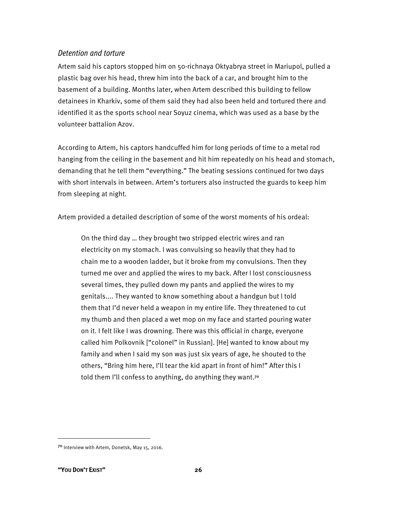#### Detention and torture

Artem said his captors stopped him on 50-richnaya Oktyabrya street in Mariupol, pulled a plastic bag over his head, threw him into the back of a car, and brought him to the basement of a building. Months later, when Artem described this building to fellow detainees in Kharkiv, some of them said they had also been held and tortured there and identified it as the sports school near Soyuz cinema, which was used as a base by the volunteer battalion Azov.

According to Artem, his captors handcuffed him for long periods of time to a metal rod hanging from the ceiling in the basement and hit him repeatedly on his head and stomach, demanding that he tell them "everything." The beating sessions continued for two days with short intervals in between. Artem's torturers also instructed the guards to keep him from sleeping at night.

Artem provided a detailed description of some of the worst moments of his ordeal:

On the third day … they brought two stripped electric wires and ran electricity on my stomach. I was convulsing so heavily that they had to chain me to a wooden ladder, but it broke from my convulsions. Then they turned me over and applied the wires to my back. After I lost consciousness several times, they pulled down my pants and applied the wires to my genitals.... They wanted to know something about a handgun but I told them that I'd never held a weapon in my entire life. They threatened to cut my thumb and then placed a wet mop on my face and started pouring water on it. I felt like I was drowning. There was this official in charge, everyone called him Polkovnik ["colonel" in Russian]. [He] wanted to know about my family and when I said my son was just six years of age, he shouted to the others, "Bring him here, I'll tear the kid apart in front of him!" After this I told them I'll confess to anything, do anything they want.<sup>70</sup>

<sup>70</sup> Interview with Artem, Donetsk, May 15, 2016.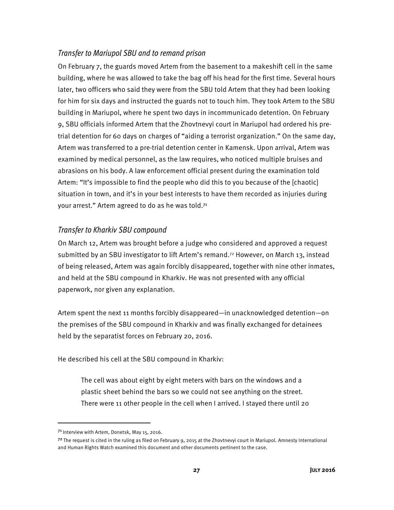#### Transfer to Mariupol SBU and to remand prison

On February 7, the guards moved Artem from the basement to a makeshift cell in the same building, where he was allowed to take the bag off his head for the first time. Several hours later, two officers who said they were from the SBU told Artem that they had been looking for him for six days and instructed the guards not to touch him. They took Artem to the SBU building in Mariupol, where he spent two days in incommunicado detention. On February 9, SBU officials informed Artem that the Zhovtnevyi court in Mariupol had ordered his pretrial detention for 60 days on charges of "aiding a terrorist organization." On the same day, Artem was transferred to a pre-trial detention center in Kamensk. Upon arrival, Artem was examined by medical personnel, as the law requires, who noticed multiple bruises and abrasions on his body. A law enforcement official present during the examination told Artem: "It's impossible to find the people who did this to you because of the [chaotic] situation in town, and it's in your best interests to have them recorded as injuries during your arrest." Artem agreed to do as he was told.<sup>71</sup>

#### Transfer to Kharkiv SBU compound

On March 12, Artem was brought before a judge who considered and approved a request submitted by an SBU investigator to lift Artem's remand.72 However, on March 13, instead of being released, Artem was again forcibly disappeared, together with nine other inmates, and held at the SBU compound in Kharkiv. He was not presented with any official paperwork, nor given any explanation.

Artem spent the next 11 months forcibly disappeared—in unacknowledged detention—on the premises of the SBU compound in Kharkiv and was finally exchanged for detainees held by the separatist forces on February 20, 2016.

He described his cell at the SBU compound in Kharkiv:

The cell was about eight by eight meters with bars on the windows and a plastic sheet behind the bars so we could not see anything on the street. There were 11 other people in the cell when I arrived. I stayed there until 20

**.** 

<sup>71</sup> Interview with Artem, Donetsk, May 15, 2016.

 $72$  The request is cited in the ruling as filed on February 9, 2015 at the Zhovtnevyi court in Mariupol. Amnesty International and Human Rights Watch examined this document and other documents pertinent to the case.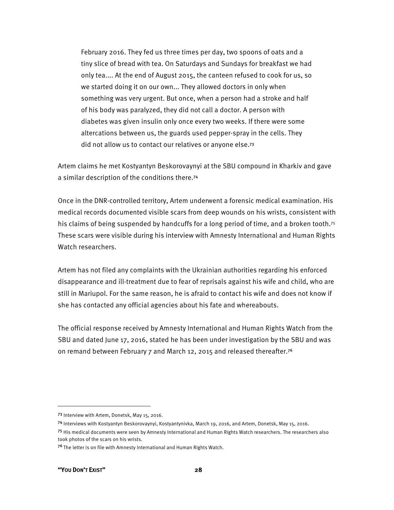February 2016. They fed us three times per day, two spoons of oats and a tiny slice of bread with tea. On Saturdays and Sundays for breakfast we had only tea.... At the end of August 2015, the canteen refused to cook for us, so we started doing it on our own... They allowed doctors in only when something was very urgent. But once, when a person had a stroke and half of his body was paralyzed, they did not call a doctor. A person with diabetes was given insulin only once every two weeks. If there were some altercations between us, the guards used pepper-spray in the cells. They did not allow us to contact our relatives or anyone else.<sup>73</sup>

Artem claims he met Kostyantyn Beskorovaynyi at the SBU compound in Kharkiv and gave a similar description of the conditions there.<sup>74</sup>

Once in the DNR-controlled territory, Artem underwent a forensic medical examination. His medical records documented visible scars from deep wounds on his wrists, consistent with his claims of being suspended by handcuffs for a long period of time, and a broken tooth.<sup>75</sup> These scars were visible during his interview with Amnesty International and Human Rights Watch researchers.

Artem has not filed any complaints with the Ukrainian authorities regarding his enforced disappearance and ill-treatment due to fear of reprisals against his wife and child, who are still in Mariupol. For the same reason, he is afraid to contact his wife and does not know if she has contacted any official agencies about his fate and whereabouts.

The official response received by Amnesty International and Human Rights Watch from the SBU and dated June 17, 2016, stated he has been under investigation by the SBU and was on remand between February 7 and March 12, 2015 and released thereafter.<sup>76</sup>

<sup>73</sup> Interview with Artem, Donetsk, May 15, 2016.

<sup>74</sup> Interviews with Kostyantyn Beskorovaynyi, Kostyantynivka, March 19, 2016, and Artem, Donetsk, May 15, 2016. <sup>75</sup> His medical documents were seen by Amnesty International and Human Rights Watch researchers. The researchers also took photos of the scars on his wrists.

<sup>76</sup> The letter is on file with Amnesty International and Human Rights Watch.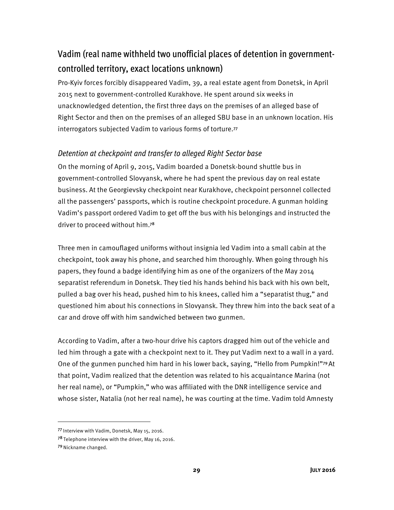## Vadim (real name withheld two unofficial places of detention in governmentcontrolled territory, exact locations unknown)

Pro-Kyiv forces forcibly disappeared Vadim, 39, a real estate agent from Donetsk, in April 2015 next to government-controlled Kurakhove. He spent around six weeks in unacknowledged detention, the first three days on the premises of an alleged base of Right Sector and then on the premises of an alleged SBU base in an unknown location. His interrogators subjected Vadim to various forms of torture.<sup>77</sup>

#### Detention at checkpoint and transfer to alleged Right Sector base

On the morning of April 9, 2015, Vadim boarded a Donetsk-bound shuttle bus in government-controlled Slovyansk, where he had spent the previous day on real estate business. At the Georgievsky checkpoint near Kurakhove, checkpoint personnel collected all the passengers' passports, which is routine checkpoint procedure. A gunman holding Vadim's passport ordered Vadim to get off the bus with his belongings and instructed the driver to proceed without him.<sup>78</sup>

Three men in camouflaged uniforms without insignia led Vadim into a small cabin at the checkpoint, took away his phone, and searched him thoroughly. When going through his papers, they found a badge identifying him as one of the organizers of the May 2014 separatist referendum in Donetsk. They tied his hands behind his back with his own belt, pulled a bag over his head, pushed him to his knees, called him a "separatist thug," and questioned him about his connections in Slovyansk. They threw him into the back seat of a car and drove off with him sandwiched between two gunmen.

According to Vadim, after a two-hour drive his captors dragged him out of the vehicle and led him through a gate with a checkpoint next to it. They put Vadim next to a wall in a yard. One of the gunmen punched him hard in his lower back, saying, "Hello from Pumpkin!"79 At that point, Vadim realized that the detention was related to his acquaintance Marina (not her real name), or "Pumpkin," who was affiliated with the DNR intelligence service and whose sister, Natalia (not her real name), he was courting at the time. Vadim told Amnesty

<sup>77</sup>Interview with Vadim, Donetsk, May 15, 2016.

<sup>&</sup>lt;sup>78</sup> Telephone interview with the driver, May 16, 2016.

<sup>79</sup> Nickname changed.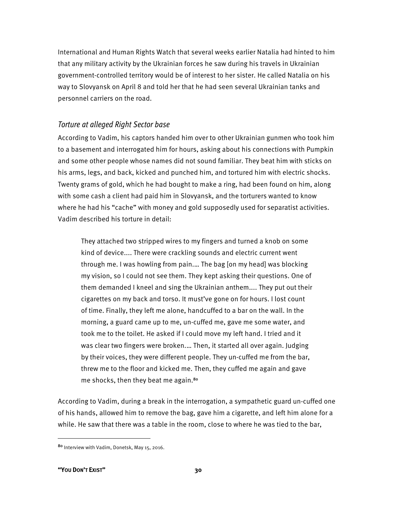International and Human Rights Watch that several weeks earlier Natalia had hinted to him that any military activity by the Ukrainian forces he saw during his travels in Ukrainian government-controlled territory would be of interest to her sister. He called Natalia on his way to Slovyansk on April 8 and told her that he had seen several Ukrainian tanks and personnel carriers on the road.

#### Torture at alleged Right Sector base

According to Vadim, his captors handed him over to other Ukrainian gunmen who took him to a basement and interrogated him for hours, asking about his connections with Pumpkin and some other people whose names did not sound familiar. They beat him with sticks on his arms, legs, and back, kicked and punched him, and tortured him with electric shocks. Twenty grams of gold, which he had bought to make a ring, had been found on him, along with some cash a client had paid him in Slovyansk, and the torturers wanted to know where he had his "cache" with money and gold supposedly used for separatist activities. Vadim described his torture in detail:

They attached two stripped wires to my fingers and turned a knob on some kind of device.... There were crackling sounds and electric current went through me. I was howling from pain.… The bag [on my head] was blocking my vision, so I could not see them. They kept asking their questions. One of them demanded I kneel and sing the Ukrainian anthem.... They put out their cigarettes on my back and torso. It must've gone on for hours. I lost count of time. Finally, they left me alone, handcuffed to a bar on the wall. In the morning, a guard came up to me, un-cuffed me, gave me some water, and took me to the toilet. He asked if I could move my left hand. I tried and it was clear two fingers were broken.… Then, it started all over again. Judging by their voices, they were different people. They un-cuffed me from the bar, threw me to the floor and kicked me. Then, they cuffed me again and gave me shocks, then they beat me again.<sup>80</sup>

According to Vadim, during a break in the interrogation, a sympathetic guard un-cuffed one of his hands, allowed him to remove the bag, gave him a cigarette, and left him alone for a while. He saw that there was a table in the room, close to where he was tied to the bar,

<sup>80</sup> Interview with Vadim, Donetsk, May 15, 2016.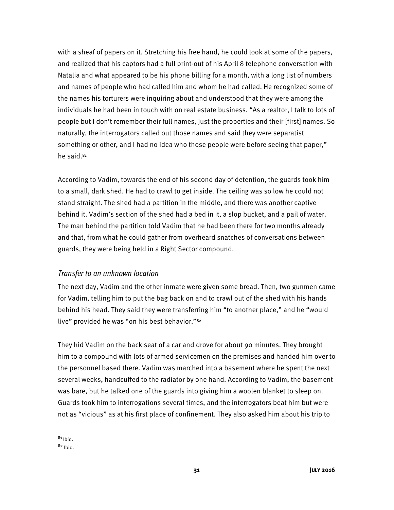with a sheaf of papers on it. Stretching his free hand, he could look at some of the papers, and realized that his captors had a full print-out of his April 8 telephone conversation with Natalia and what appeared to be his phone billing for a month, with a long list of numbers and names of people who had called him and whom he had called. He recognized some of the names his torturers were inquiring about and understood that they were among the individuals he had been in touch with on real estate business. "As a realtor, I talk to lots of people but I don't remember their full names, just the properties and their [first] names. So naturally, the interrogators called out those names and said they were separatist something or other, and I had no idea who those people were before seeing that paper," he said.<sup>81</sup>

According to Vadim, towards the end of his second day of detention, the guards took him to a small, dark shed. He had to crawl to get inside. The ceiling was so low he could not stand straight. The shed had a partition in the middle, and there was another captive behind it. Vadim's section of the shed had a bed in it, a slop bucket, and a pail of water. The man behind the partition told Vadim that he had been there for two months already and that, from what he could gather from overheard snatches of conversations between guards, they were being held in a Right Sector compound.

#### Transfer to an unknown location

The next day, Vadim and the other inmate were given some bread. Then, two gunmen came for Vadim, telling him to put the bag back on and to crawl out of the shed with his hands behind his head. They said they were transferring him "to another place," and he "would live" provided he was "on his best behavior."<sup>82</sup>

They hid Vadim on the back seat of a car and drove for about 90 minutes. They brought him to a compound with lots of armed servicemen on the premises and handed him over to the personnel based there. Vadim was marched into a basement where he spent the next several weeks, handcuffed to the radiator by one hand. According to Vadim, the basement was bare, but he talked one of the guards into giving him a woolen blanket to sleep on. Guards took him to interrogations several times, and the interrogators beat him but were not as "vicious" as at his first place of confinement. They also asked him about his trip to

l

 $81$  Ibid.

 $82$  Ibid.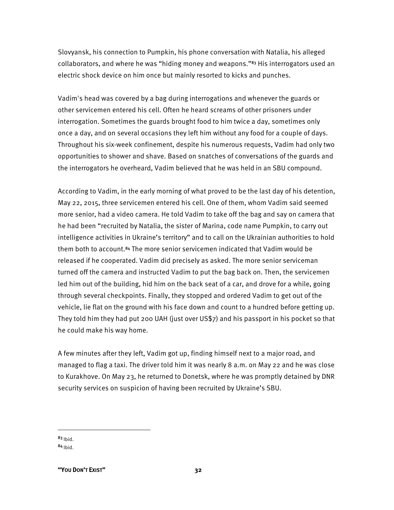Slovyansk, his connection to Pumpkin, his phone conversation with Natalia, his alleged collaborators, and where he was "hiding money and weapons."<sup>83</sup> His interrogators used an electric shock device on him once but mainly resorted to kicks and punches.

Vadim's head was covered by a bag during interrogations and whenever the guards or other servicemen entered his cell. Often he heard screams of other prisoners under interrogation. Sometimes the guards brought food to him twice a day, sometimes only once a day, and on several occasions they left him without any food for a couple of days. Throughout his six-week confinement, despite his numerous requests, Vadim had only two opportunities to shower and shave. Based on snatches of conversations of the guards and the interrogators he overheard, Vadim believed that he was held in an SBU compound.

According to Vadim, in the early morning of what proved to be the last day of his detention, May 22, 2015, three servicemen entered his cell. One of them, whom Vadim said seemed more senior, had a video camera. He told Vadim to take off the bag and say on camera that he had been "recruited by Natalia, the sister of Marina, code name Pumpkin, to carry out intelligence activities in Ukraine's territory" and to call on the Ukrainian authorities to hold them both to account.84 The more senior servicemen indicated that Vadim would be released if he cooperated. Vadim did precisely as asked. The more senior serviceman turned off the camera and instructed Vadim to put the bag back on. Then, the servicemen led him out of the building, hid him on the back seat of a car, and drove for a while, going through several checkpoints. Finally, they stopped and ordered Vadim to get out of the vehicle, lie flat on the ground with his face down and count to a hundred before getting up. They told him they had put 200 UAH (just over US\$7) and his passport in his pocket so that he could make his way home.

A few minutes after they left, Vadim got up, finding himself next to a major road, and managed to flag a taxi. The driver told him it was nearly 8 a.m. on May 22 and he was close to Kurakhove. On May 23, he returned to Donetsk, where he was promptly detained by DNR security services on suspicion of having been recruited by Ukraine's SBU.

 $83$  Ibid.

 $\overline{a}$ 

**"YOU DON'T EXIST" 32** 

 $84$  Ibid.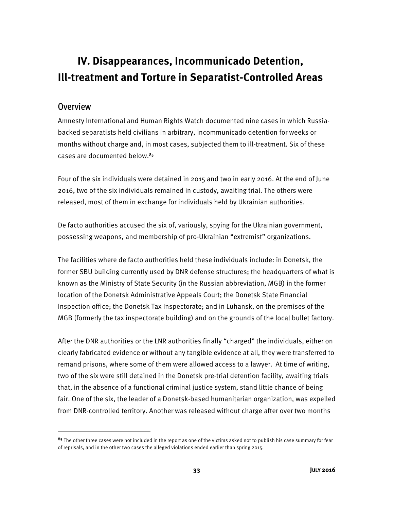## **IV. Disappearances, Incommunicado Detention, Ill-treatment and Torture in Separatist-Controlled Areas**

#### **Overview**

l

Amnesty International and Human Rights Watch documented nine cases in which Russiabacked separatists held civilians in arbitrary, incommunicado detention for weeks or months without charge and, in most cases, subjected them to ill-treatment. Six of these cases are documented below.<sup>85</sup>

Four of the six individuals were detained in 2015 and two in early 2016. At the end of June 2016, two of the six individuals remained in custody, awaiting trial. The others were released, most of them in exchange for individuals held by Ukrainian authorities.

De facto authorities accused the six of, variously, spying for the Ukrainian government, possessing weapons, and membership of pro-Ukrainian "extremist" organizations.

The facilities where de facto authorities held these individuals include: in Donetsk, the former SBU building currently used by DNR defense structures; the headquarters of what is known as the Ministry of State Security (in the Russian abbreviation, MGB) in the former location of the Donetsk Administrative Appeals Court; the Donetsk State Financial Inspection office; the Donetsk Tax Inspectorate; and in Luhansk, on the premises of the MGB (formerly the tax inspectorate building) and on the grounds of the local bullet factory.

After the DNR authorities or the LNR authorities finally "charged" the individuals, either on clearly fabricated evidence or without any tangible evidence at all, they were transferred to remand prisons, where some of them were allowed access to a lawyer. At time of writing, two of the six were still detained in the Donetsk pre-trial detention facility, awaiting trials that, in the absence of a functional criminal justice system, stand little chance of being fair. One of the six, the leader of a Donetsk-based humanitarian organization, was expelled from DNR-controlled territory. Another was released without charge after over two months

<sup>&</sup>lt;sup>85</sup> The other three cases were not included in the report as one of the victims asked not to publish his case summary for fear of reprisals, and in the other two cases the alleged violations ended earlier than spring 2015.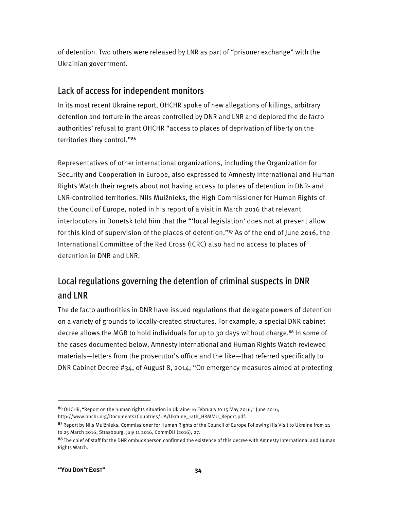of detention. Two others were released by LNR as part of "prisoner exchange" with the Ukrainian government.

#### Lack of access for independent monitors

In its most recent Ukraine report, OHCHR spoke of new allegations of killings, arbitrary detention and torture in the areas controlled by DNR and LNR and deplored the de facto authorities' refusal to grant OHCHR "access to places of deprivation of liberty on the territories they control."<sup>86</sup>

Representatives of other international organizations, including the Organization for Security and Cooperation in Europe, also expressed to Amnesty International and Human Rights Watch their regrets about not having access to places of detention in DNR- and LNR-controlled territories. Nils Muižnieks, the High Commissioner for Human Rights of the Council of Europe, noted in his report of a visit in March 2016 that relevant interlocutors in Donetsk told him that the "'local legislation' does not at present allow for this kind of supervision of the places of detention."87 As of the end of June 2016, the International Committee of the Red Cross (ICRC) also had no access to places of detention in DNR and LNR.

### Local regulations governing the detention of criminal suspects in DNR and LNR

The de facto authorities in DNR have issued regulations that delegate powers of detention on a variety of grounds to locally-created structures. For example, a special DNR cabinet decree allows the MGB to hold individuals for up to 30 days without charge.<sup>88</sup> In some of the cases documented below, Amnesty International and Human Rights Watch reviewed materials—letters from the prosecutor's office and the like—that referred specifically to DNR Cabinet Decree #34, of August 8, 2014, "On emergency measures aimed at protecting

<sup>86</sup> OHCHR, "Report on the human rights situation in Ukraine 16 February to 15 May 2016," June 2016, http://www.ohchr.org/Documents/Countries/UA/Ukraine\_14th\_HRMMU\_Report.pdf.

<sup>87</sup> Report by Nils Muižnieks, Commissioner for Human Rights of the Council of Europe Following His Visit to Ukraine from 21 to 25 March 2016; Strasbourg, July 11 2016, CommDH (2016), 27.

<sup>88</sup> The chief of staff for the DNR ombudsperson confirmed the existence of this decree with Amnesty International and Human Rights Watch.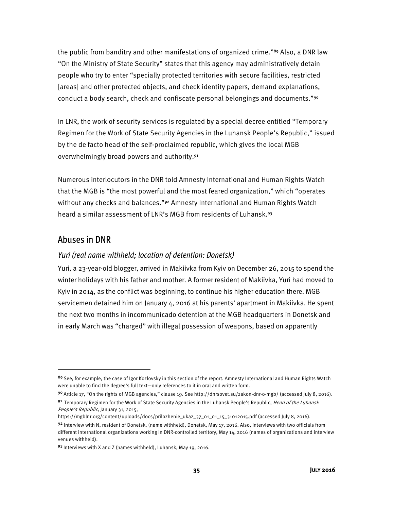the public from banditry and other manifestations of organized crime."89 Also, a DNR law "On the Ministry of State Security" states that this agency may administratively detain people who try to enter "specially protected territories with secure facilities, restricted [areas] and other protected objects, and check identity papers, demand explanations, conduct a body search, check and confiscate personal belongings and documents."<sup>90</sup>

In LNR, the work of security services is regulated by a special decree entitled "Temporary Regimen for the Work of State Security Agencies in the Luhansk People's Republic," issued by the de facto head of the self-proclaimed republic, which gives the local MGB overwhelmingly broad powers and authority.<sup>91</sup>

Numerous interlocutors in the DNR told Amnesty International and Human Rights Watch that the MGB is "the most powerful and the most feared organization," which "operates without any checks and balances."92 Amnesty International and Human Rights Watch heard a similar assessment of LNR's MGB from residents of Luhansk.<sup>93</sup>

#### Abuses in DNR

 $\overline{\phantom{a}}$ 

#### Yuri (real name withheld; location of detention: Donetsk)

Yuri, a 23-year-old blogger, arrived in Makiivka from Kyiv on December 26, 2015 to spend the winter holidays with his father and mother. A former resident of Makiivka, Yuri had moved to Kyiv in 2014, as the conflict was beginning, to continue his higher education there. MGB servicemen detained him on January 4, 2016 at his parents' apartment in Makiivka. He spent the next two months in incommunicado detention at the MGB headquarters in Donetsk and in early March was "charged" with illegal possession of weapons, based on apparently

<sup>89</sup> See, for example, the case of Igor Kozlovsky in this section of the report. Amnesty International and Human Rights Watch were unable to find the degree's full text—only references to it in oral and written form.

<sup>90</sup>Article 17, "On the rights of MGB agencies," clause 19. See http://dnrsovet.su/zakon-dnr-o-mgb/ (accessed July 8, 2016).

<sup>91</sup> Temporary Regimen for the Work of State Security Agencies in the Luhansk People's Republic, Head of the Luhansk People's Republic, January 31, 2015,

https://mgblnr.org/content/uploads/docs/prilozhenie\_ukaz\_37\_01\_01\_15\_31012015.pdf (accessed July 8, 2016).

<sup>92</sup> Interview with N, resident of Donetsk, (name withheld), Donetsk, May 17, 2016. Also, interviews with two officials from different international organizations working in DNR-controlled territory, May 14, 2016 (names of organizations and interview venues withheld).

<sup>93</sup> Interviews with X and Z (names withheld), Luhansk, May 19, 2016.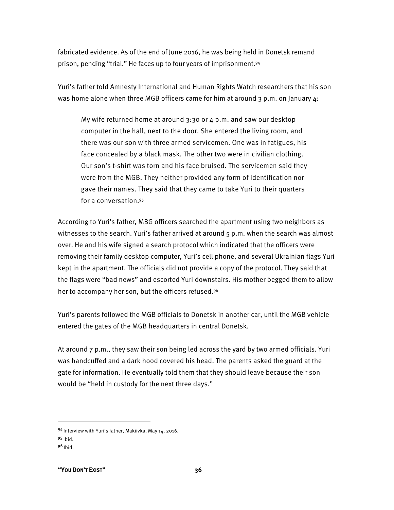fabricated evidence. As of the end of June 2016, he was being held in Donetsk remand prison, pending "trial." He faces up to four years of imprisonment.94

Yuri's father told Amnesty International and Human Rights Watch researchers that his son was home alone when three MGB officers came for him at around  $3$  p.m. on January  $4$ :

My wife returned home at around 3:30 or 4 p.m. and saw our desktop computer in the hall, next to the door. She entered the living room, and there was our son with three armed servicemen. One was in fatigues, his face concealed by a black mask. The other two were in civilian clothing. Our son's t-shirt was torn and his face bruised. The servicemen said they were from the MGB. They neither provided any form of identification nor gave their names. They said that they came to take Yuri to their quarters for a conversation.<sup>95</sup>

According to Yuri's father, MBG officers searched the apartment using two neighbors as witnesses to the search. Yuri's father arrived at around 5 p.m. when the search was almost over. He and his wife signed a search protocol which indicated that the officers were removing their family desktop computer, Yuri's cell phone, and several Ukrainian flags Yuri kept in the apartment. The officials did not provide a copy of the protocol. They said that the flags were "bad news" and escorted Yuri downstairs. His mother begged them to allow her to accompany her son, but the officers refused.<sup>96</sup>

Yuri's parents followed the MGB officials to Donetsk in another car, until the MGB vehicle entered the gates of the MGB headquarters in central Donetsk.

At around 7 p.m., they saw their son being led across the yard by two armed officials. Yuri was handcuffed and a dark hood covered his head. The parents asked the guard at the gate for information. He eventually told them that they should leave because their son would be "held in custody for the next three days."

**.** 

<sup>94</sup> Interview with Yuri's father, Makiivka, May 14, 2016.

 $95$  Ibid.

 $96$  Ibid.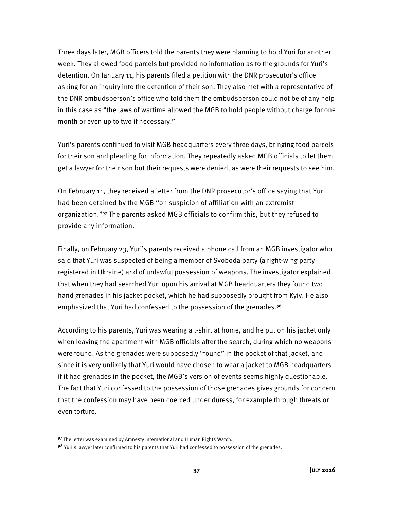Three days later, MGB officers told the parents they were planning to hold Yuri for another week. They allowed food parcels but provided no information as to the grounds for Yuri's detention. On January 11, his parents filed a petition with the DNR prosecutor's office asking for an inquiry into the detention of their son. They also met with a representative of the DNR ombudsperson's office who told them the ombudsperson could not be of any help in this case as "the laws of wartime allowed the MGB to hold people without charge for one month or even up to two if necessary."

Yuri's parents continued to visit MGB headquarters every three days, bringing food parcels for their son and pleading for information. They repeatedly asked MGB officials to let them get a lawyer for their son but their requests were denied, as were their requests to see him.

On February 11, they received a letter from the DNR prosecutor's office saying that Yuri had been detained by the MGB "on suspicion of affiliation with an extremist organization."97 The parents asked MGB officials to confirm this, but they refused to provide any information.

Finally, on February 23, Yuri's parents received a phone call from an MGB investigator who said that Yuri was suspected of being a member of Svoboda party (a right-wing party registered in Ukraine) and of unlawful possession of weapons. The investigator explained that when they had searched Yuri upon his arrival at MGB headquarters they found two hand grenades in his jacket pocket, which he had supposedly brought from Kyiv. He also emphasized that Yuri had confessed to the possession of the grenades.<sup>98</sup>

According to his parents, Yuri was wearing a t-shirt at home, and he put on his jacket only when leaving the apartment with MGB officials after the search, during which no weapons were found. As the grenades were supposedly "found" in the pocket of that jacket, and since it is very unlikely that Yuri would have chosen to wear a jacket to MGB headquarters if it had grenades in the pocket, the MGB's version of events seems highly questionable. The fact that Yuri confessed to the possession of those grenades gives grounds for concern that the confession may have been coerced under duress, for example through threats or even torture.

 $\overline{a}$ 

<sup>97</sup> The letter was examined by Amnesty International and Human Rights Watch.

<sup>98</sup> Yuri's lawyer later confirmed to his parents that Yuri had confessed to possession of the grenades.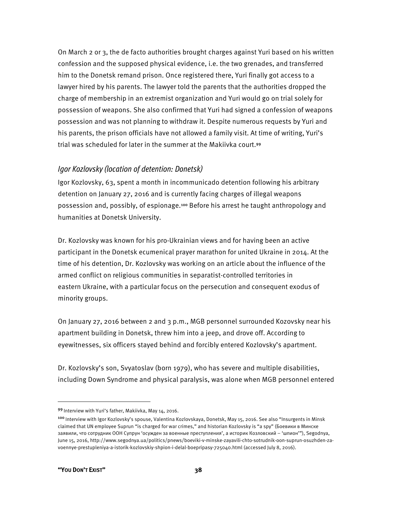On March 2 or 3, the de facto authorities brought charges against Yuri based on his written confession and the supposed physical evidence, i.e. the two grenades, and transferred him to the Donetsk remand prison. Once registered there, Yuri finally got access to a lawyer hired by his parents. The lawyer told the parents that the authorities dropped the charge of membership in an extremist organization and Yuri would go on trial solely for possession of weapons. She also confirmed that Yuri had signed a confession of weapons possession and was not planning to withdraw it. Despite numerous requests by Yuri and his parents, the prison officials have not allowed a family visit. At time of writing, Yuri's trial was scheduled for later in the summer at the Makiivka court.<sup>99</sup>

#### Igor Kozlovsky (location of detention: Donetsk)

Igor Kozlovsky, 63, spent a month in incommunicado detention following his arbitrary detention on January 27, 2016 and is currently facing charges of illegal weapons possession and, possibly, of espionage.<sup>100</sup> Before his arrest he taught anthropology and humanities at Donetsk University.

Dr. Kozlovsky was known for his pro-Ukrainian views and for having been an active participant in the Donetsk ecumenical prayer marathon for united Ukraine in 2014. At the time of his detention, Dr. Kozlovsky was working on an article about the influence of the armed conflict on religious communities in separatist-controlled territories in eastern Ukraine, with a particular focus on the persecution and consequent exodus of minority groups.

On January 27, 2016 between 2 and 3 p.m., MGB personnel surrounded Kozovsky near his apartment building in Donetsk, threw him into a jeep, and drove off. According to eyewitnesses, six officers stayed behind and forcibly entered Kozlovsky's apartment.

Dr. Kozlovsky's son, Svyatoslav (born 1979), who has severe and multiple disabilities, including Down Syndrome and physical paralysis, was alone when MGB personnel entered

<sup>99</sup> Interview with Yuri's father, Makiivka, May 14, 2016.

<sup>100</sup> Interview with Igor Kozlovsky's spouse, Valentina Kozlovskaya, Donetsk, May 15, 2016. See also "Insurgents in Minsk claimed that UN employee Suprun "is charged for war crimes," and historian Kozlovsky is "a spy" (Боевики в Минске заявили, что сотрудник ООН Супрун 'осужден за военные преступления', а историк Козловский – 'шпион'"), Segodnya, June 15, 2016, http://www.segodnya.ua/politics/pnews/boeviki-v-minske-zayavili-chto-sotrudnik-oon-suprun-osuzhden-zavoennye-prestupleniya-a-istorik-kozlovskiy-shpion-i-delal-boepripasy-725040.html (accessed July 8, 2016).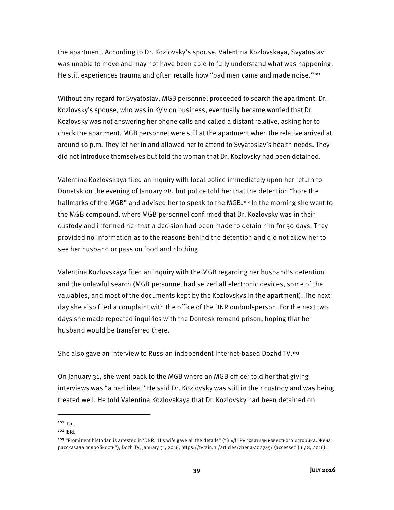the apartment. According to Dr. Kozlovsky's spouse, Valentina Kozlovskaya, Svyatoslav was unable to move and may not have been able to fully understand what was happening. He still experiences trauma and often recalls how "bad men came and made noise."<sup>101</sup>

Without any regard for Svyatoslav, MGB personnel proceeded to search the apartment. Dr. Kozlovsky's spouse, who was in Kyiv on business, eventually became worried that Dr. Kozlovsky was not answering her phone calls and called a distant relative, asking her to check the apartment. MGB personnel were still at the apartment when the relative arrived at around 10 p.m. They let her in and allowed her to attend to Svyatoslav's health needs. They did not introduce themselves but told the woman that Dr. Kozlovsky had been detained.

Valentina Kozlovskaya filed an inquiry with local police immediately upon her return to Donetsk on the evening of January 28, but police told her that the detention "bore the hallmarks of the MGB" and advised her to speak to the MGB.<sup>102</sup> In the morning she went to the MGB compound, where MGB personnel confirmed that Dr. Kozlovsky was in their custody and informed her that a decision had been made to detain him for 30 days. They provided no information as to the reasons behind the detention and did not allow her to see her husband or pass on food and clothing.

Valentina Kozlovskaya filed an inquiry with the MGB regarding her husband's detention and the unlawful search (MGB personnel had seized all electronic devices, some of the valuables, and most of the documents kept by the Kozlovskys in the apartment). The next day she also filed a complaint with the office of the DNR ombudsperson. For the next two days she made repeated inquiries with the Dontesk remand prison, hoping that her husband would be transferred there.

She also gave an interview to Russian independent Internet-based Dozhd TV.<sup>103</sup>

On January 31, she went back to the MGB where an MGB officer told her that giving interviews was "a bad idea." He said Dr. Kozlovsky was still in their custody and was being treated well. He told Valentina Kozlovskaya that Dr. Kozlovsky had been detained on

 $101$  Ibid.

 $\overline{a}$ 

 $102$  Ibid.

<sup>103</sup>"Prominent historian is arrested in 'DNR.' His wife gave all the details" ("В «ДНР» схватили известного историка. Жена рассказала подробности"), Dozh TV, January 31, 2016, https://tvrain.ru/articles/zhena-402745/ (accessed July 8, 2016).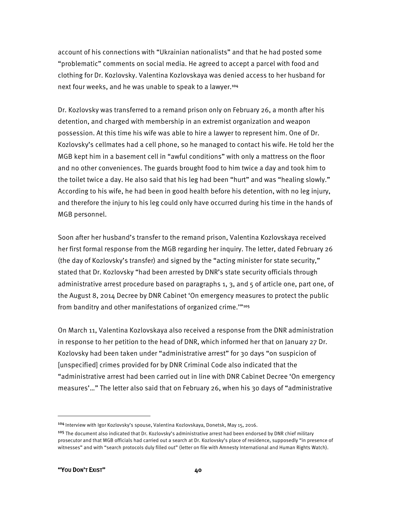account of his connections with "Ukrainian nationalists" and that he had posted some "problematic" comments on social media. He agreed to accept a parcel with food and clothing for Dr. Kozlovsky. Valentina Kozlovskaya was denied access to her husband for next four weeks, and he was unable to speak to a lawyer.<sup>104</sup>

Dr. Kozlovsky was transferred to a remand prison only on February 26, a month after his detention, and charged with membership in an extremist organization and weapon possession. At this time his wife was able to hire a lawyer to represent him. One of Dr. Kozlovsky's cellmates had a cell phone, so he managed to contact his wife. He told her the MGB kept him in a basement cell in "awful conditions" with only a mattress on the floor and no other conveniences. The guards brought food to him twice a day and took him to the toilet twice a day. He also said that his leg had been "hurt" and was "healing slowly." According to his wife, he had been in good health before his detention, with no leg injury, and therefore the injury to his leg could only have occurred during his time in the hands of MGB personnel.

Soon after her husband's transfer to the remand prison, Valentina Kozlovskaya received her first formal response from the MGB regarding her inquiry. The letter, dated February 26 (the day of Kozlovsky's transfer) and signed by the "acting minister for state security," stated that Dr. Kozlovsky "had been arrested by DNR's state security officials through administrative arrest procedure based on paragraphs 1, 3, and 5 of article one, part one, of the August 8, 2014 Decree by DNR Cabinet 'On emergency measures to protect the public from banditry and other manifestations of organized crime.""<sup>105</sup>

On March 11, Valentina Kozlovskaya also received a response from the DNR administration in response to her petition to the head of DNR, which informed her that on January 27 Dr. Kozlovsky had been taken under "administrative arrest" for 30 days "on suspicion of [unspecified] crimes provided for by DNR Criminal Code also indicated that the "administrative arrest had been carried out in line with DNR Cabinet Decree 'On emergency measures'…" The letter also said that on February 26, when his 30 days of "administrative

<sup>104</sup> Interview with Igor Kozlovsky's spouse, Valentina Kozlovskaya, Donetsk, May 15, 2016.

<sup>&</sup>lt;sup>105</sup> The document also indicated that Dr. Kozlovsky's administrative arrest had been endorsed by DNR chief military prosecutor and that MGB officials had carried out a search at Dr. Kozlovsky's place of residence, supposedly "in presence of witnesses" and with "search protocols duly filled out" (letter on file with Amnesty International and Human Rights Watch).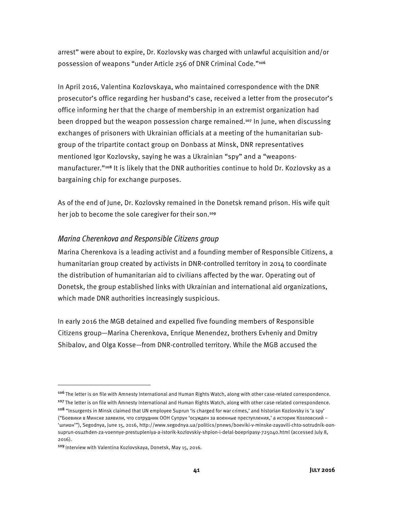arrest" were about to expire, Dr. Kozlovsky was charged with unlawful acquisition and/or possession of weapons "under Article 256 of DNR Criminal Code."<sup>106</sup>

In April 2016, Valentina Kozlovskaya, who maintained correspondence with the DNR prosecutor's office regarding her husband's case, received a letter from the prosecutor's office informing her that the charge of membership in an extremist organization had been dropped but the weapon possession charge remained.107 In June, when discussing exchanges of prisoners with Ukrainian officials at a meeting of the humanitarian subgroup of the tripartite contact group on Donbass at Minsk, DNR representatives mentioned Igor Kozlovsky, saying he was a Ukrainian "spy" and a "weaponsmanufacturer."108 It is likely that the DNR authorities continue to hold Dr. Kozlovsky as a bargaining chip for exchange purposes.

As of the end of June, Dr. Kozlovsky remained in the Donetsk remand prison. His wife quit her job to become the sole caregiver for their son.<sup>109</sup>

#### Marina Cherenkova and Responsible Citizens group

Marina Cherenkova is a leading activist and a founding member of Responsible Citizens, a humanitarian group created by activists in DNR-controlled territory in 2014 to coordinate the distribution of humanitarian aid to civilians affected by the war. Operating out of Donetsk, the group established links with Ukrainian and international aid organizations, which made DNR authorities increasingly suspicious.

In early 2016 the MGB detained and expelled five founding members of Responsible Citizens group—Marina Cherenkova, Enrique Menendez, brothers Evheniy and Dmitry Shibalov, and Olga Kosse—from DNR-controlled territory. While the MGB accused the

**.** 

<sup>&</sup>lt;sup>106</sup> The letter is on file with Amnesty International and Human Rights Watch, along with other case-related correspondence. 107 The letter is on file with Amnesty International and Human Rights Watch, along with other case-related correspondence. <sup>108</sup> "Insurgents in Minsk claimed that UN employee Suprun 'is charged for war crimes,' and historian Kozlovsky is 'a spy' ("Боевики в Минске заявили, что сотрудник ООН Супрун 'осужден за военные преступления,' а историк Козловский – 'шпион'"), Segodnya, June 15, 2016, http://www.segodnya.ua/politics/pnews/boeviki-v-minske-zayavili-chto-sotrudnik-oonsuprun-osuzhden-za-voennye-prestupleniya-a-istorik-kozlovskiy-shpion-i-delal-boepripasy-725040.html (accessed July 8, 2016).

<sup>&</sup>lt;sup>109</sup> Interview with Valentina Kozlovskaya, Donetsk, May 15, 2016.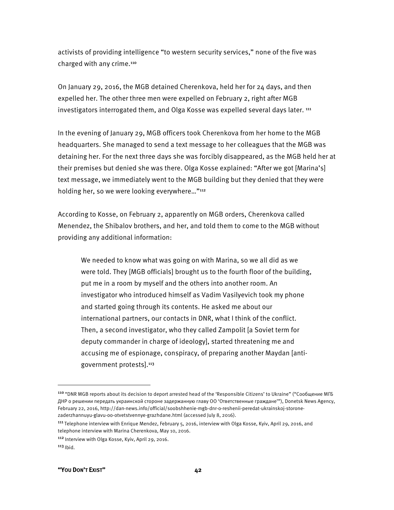activists of providing intelligence "to western security services," none of the five was charged with any crime.<sup>110</sup>

On January 29, 2016, the MGB detained Cherenkova, held her for 24 days, and then expelled her. The other three men were expelled on February 2, right after MGB investigators interrogated them, and Olga Kosse was expelled several days later. <sup>111</sup>

In the evening of January 29, MGB officers took Cherenkova from her home to the MGB headquarters. She managed to send a text message to her colleagues that the MGB was detaining her. For the next three days she was forcibly disappeared, as the MGB held her at their premises but denied she was there. Olga Kosse explained: "After we got [Marina's] text message, we immediately went to the MGB building but they denied that they were holding her, so we were looking everywhere..."<sup>112</sup>

According to Kosse, on February 2, apparently on MGB orders, Cherenkova called Menendez, the Shibalov brothers, and her, and told them to come to the MGB without providing any additional information:

We needed to know what was going on with Marina, so we all did as we were told. They [MGB officials] brought us to the fourth floor of the building, put me in a room by myself and the others into another room. An investigator who introduced himself as Vadim Vasilyevich took my phone and started going through its contents. He asked me about our international partners, our contacts in DNR, what I think of the conflict. Then, a second investigator, who they called Zampolit [a Soviet term for deputy commander in charge of ideology], started threatening me and accusing me of espionage, conspiracy, of preparing another Maydan [antigovernment protests].<sup>113</sup>

<sup>110</sup>"DNR MGB reports about its decision to deport arrested head of the 'Responsible Citizens' to Ukraine" ("Сообщение МГБ ДНР о решении передать украинской стороне задержанную главу ОО 'Ответственные граждане'"), Donetsk News Agency, February 22, 2016, http://dan-news.info/official/soobshhenie-mgb-dnr-o-reshenii-peredat-ukrainskoj-storonezaderzhannuyu-glavu-oo-otvetstvennye-grazhdane.html (accessed July 8, 2016).

<sup>111</sup>Telephone interview with Enrique Mendez, February 5, 2016, interview with Olga Kosse, Kyiv, April 29, 2016, and telephone interview with Marina Cherenkova, May 10, 2016.

<sup>112</sup> Interview with Olga Kosse, Kyiv, April 29, 2016.

 $113$  Ibid.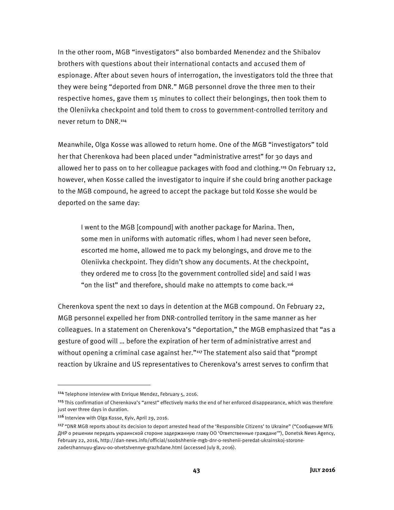In the other room, MGB "investigators" also bombarded Menendez and the Shibalov brothers with questions about their international contacts and accused them of espionage. After about seven hours of interrogation, the investigators told the three that they were being "deported from DNR." MGB personnel drove the three men to their respective homes, gave them 15 minutes to collect their belongings, then took them to the Oleniivka checkpoint and told them to cross to government-controlled territory and never return to DNR.<sup>114</sup>

Meanwhile, Olga Kosse was allowed to return home. One of the MGB "investigators" told her that Cherenkova had been placed under "administrative arrest" for 30 days and allowed her to pass on to her colleague packages with food and clothing.115 On February 12, however, when Kosse called the investigator to inquire if she could bring another package to the MGB compound, he agreed to accept the package but told Kosse she would be deported on the same day:

I went to the MGB [compound] with another package for Marina. Then, some men in uniforms with automatic rifles, whom I had never seen before, escorted me home, allowed me to pack my belongings, and drove me to the Oleniivka checkpoint. They didn't show any documents. At the checkpoint, they ordered me to cross [to the government controlled side] and said I was "on the list" and therefore, should make no attempts to come back.<sup>116</sup>

Cherenkova spent the next 10 days in detention at the MGB compound. On February 22, MGB personnel expelled her from DNR-controlled territory in the same manner as her colleagues. In a statement on Cherenkova's "deportation," the MGB emphasized that "as a gesture of good will … before the expiration of her term of administrative arrest and without opening a criminal case against her."<sup>117</sup> The statement also said that "prompt reaction by Ukraine and US representatives to Cherenkova's arrest serves to confirm that

<sup>114</sup>Telephone interview with Enrique Mendez, February 5, 2016.

<sup>&</sup>lt;sup>115</sup> This confirmation of Cherenkova's "arrest" effectively marks the end of her enforced disappearance, which was therefore just over three days in duration.

<sup>116</sup> Interview with Olga Kosse, Kyiv, April 29, 2016.

<sup>117</sup>"DNR MGB reports about its decision to deport arrested head of the 'Responsible Citizens' to Ukraine" ("Сообщение МГБ ДНР о решении передать украинской стороне задержанную главу ОО 'Ответственные граждане'"), Donetsk News Agency, February 22, 2016, http://dan-news.info/official/soobshhenie-mgb-dnr-o-reshenii-peredat-ukrainskoj-storonezaderzhannuyu-glavu-oo-otvetstvennye-grazhdane.html (accessed July 8, 2016).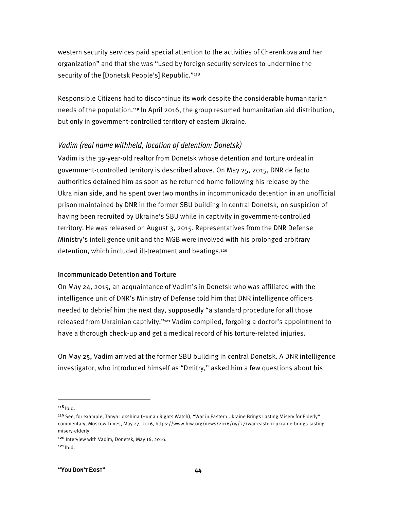western security services paid special attention to the activities of Cherenkova and her organization" and that she was "used by foreign security services to undermine the security of the [Donetsk People's] Republic."118

Responsible Citizens had to discontinue its work despite the considerable humanitarian needs of the population.119 In April 2016, the group resumed humanitarian aid distribution, but only in government-controlled territory of eastern Ukraine.

#### Vadim (real name withheld, location of detention: Donetsk)

Vadim is the 39-year-old realtor from Donetsk whose detention and torture ordeal in government-controlled territory is described above. On May 25, 2015, DNR de facto authorities detained him as soon as he returned home following his release by the Ukrainian side, and he spent over two months in incommunicado detention in an unofficial prison maintained by DNR in the former SBU building in central Donetsk, on suspicion of having been recruited by Ukraine's SBU while in captivity in government-controlled territory. He was released on August 3, 2015. Representatives from the DNR Defense Ministry's intelligence unit and the MGB were involved with his prolonged arbitrary detention, which included ill-treatment and beatings.<sup>120</sup>

#### Incommunicado Detention and Torture

On May 24, 2015, an acquaintance of Vadim's in Donetsk who was affiliated with the intelligence unit of DNR's Ministry of Defense told him that DNR intelligence officers needed to debrief him the next day, supposedly "a standard procedure for all those released from Ukrainian captivity."121 Vadim complied, forgoing a doctor's appointment to have a thorough check-up and get a medical record of his torture-related injuries.

On May 25, Vadim arrived at the former SBU building in central Donetsk. A DNR intelligence investigator, who introduced himself as "Dmitry," asked him a few questions about his

 $118$  lbid.

 $\overline{a}$ 

<sup>119</sup> See, for example, Tanya Lokshina (Human Rights Watch), "War in Eastern Ukraine Brings Lasting Misery for Elderly" commentary, Moscow Times, May 27, 2016, https://www.hrw.org/news/2016/05/27/war-eastern-ukraine-brings-lastingmisery-elderly.

<sup>120</sup> Interview with Vadim, Donetsk, May 16, 2016.

 $121$  Ibid.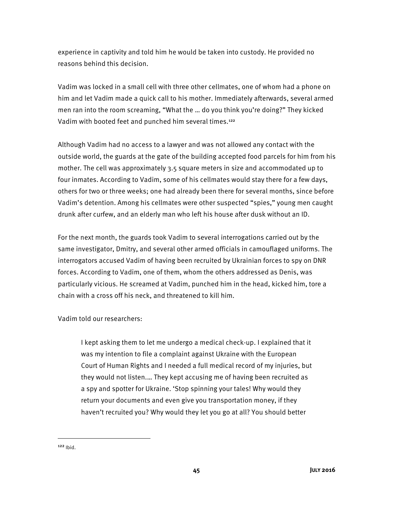experience in captivity and told him he would be taken into custody. He provided no reasons behind this decision.

Vadim was locked in a small cell with three other cellmates, one of whom had a phone on him and let Vadim made a quick call to his mother. Immediately afterwards, several armed men ran into the room screaming, "What the … do you think you're doing?" They kicked Vadim with booted feet and punched him several times.<sup>122</sup>

Although Vadim had no access to a lawyer and was not allowed any contact with the outside world, the guards at the gate of the building accepted food parcels for him from his mother. The cell was approximately 3.5 square meters in size and accommodated up to four inmates. According to Vadim, some of his cellmates would stay there for a few days, others for two or three weeks; one had already been there for several months, since before Vadim's detention. Among his cellmates were other suspected "spies," young men caught drunk after curfew, and an elderly man who left his house after dusk without an ID.

For the next month, the guards took Vadim to several interrogations carried out by the same investigator, Dmitry, and several other armed officials in camouflaged uniforms. The interrogators accused Vadim of having been recruited by Ukrainian forces to spy on DNR forces. According to Vadim, one of them, whom the others addressed as Denis, was particularly vicious. He screamed at Vadim, punched him in the head, kicked him, tore a chain with a cross off his neck, and threatened to kill him.

Vadim told our researchers:

I kept asking them to let me undergo a medical check-up. I explained that it was my intention to file a complaint against Ukraine with the European Court of Human Rights and I needed a full medical record of my injuries, but they would not listen.… They kept accusing me of having been recruited as a spy and spotter for Ukraine. 'Stop spinning your tales! Why would they return your documents and even give you transportation money, if they haven't recruited you? Why would they let you go at all? You should better

<sup>122</sup> Ibid.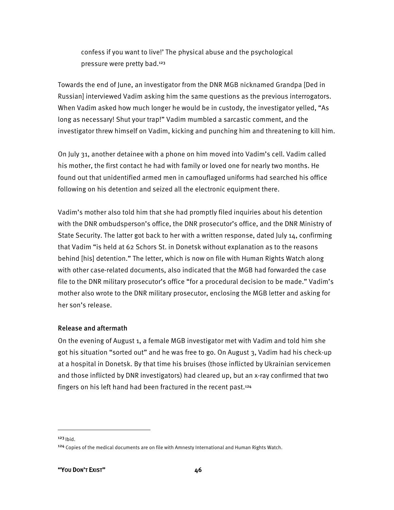confess if you want to live!' The physical abuse and the psychological pressure were pretty bad.<sup>123</sup>

Towards the end of June, an investigator from the DNR MGB nicknamed Grandpa [Ded in Russian] interviewed Vadim asking him the same questions as the previous interrogators. When Vadim asked how much longer he would be in custody, the investigator yelled, "As long as necessary! Shut your trap!" Vadim mumbled a sarcastic comment, and the investigator threw himself on Vadim, kicking and punching him and threatening to kill him.

On July 31, another detainee with a phone on him moved into Vadim's cell. Vadim called his mother, the first contact he had with family or loved one for nearly two months. He found out that unidentified armed men in camouflaged uniforms had searched his office following on his detention and seized all the electronic equipment there.

Vadim's mother also told him that she had promptly filed inquiries about his detention with the DNR ombudsperson's office, the DNR prosecutor's office, and the DNR Ministry of State Security. The latter got back to her with a written response, dated July 14, confirming that Vadim "is held at 62 Schors St. in Donetsk without explanation as to the reasons behind [his] detention." The letter, which is now on file with Human Rights Watch along with other case-related documents, also indicated that the MGB had forwarded the case file to the DNR military prosecutor's office "for a procedural decision to be made." Vadim's mother also wrote to the DNR military prosecutor, enclosing the MGB letter and asking for her son's release.

#### Release and aftermath

On the evening of August 1, a female MGB investigator met with Vadim and told him she got his situation "sorted out" and he was free to go. On August 3, Vadim had his check-up at a hospital in Donetsk. By that time his bruises (those inflicted by Ukrainian servicemen and those inflicted by DNR investigators) had cleared up, but an x-ray confirmed that two fingers on his left hand had been fractured in the recent past.<sup>124</sup>

 $123$  lbid.

 $\overline{a}$ 

<sup>124</sup> Copies of the medical documents are on file with Amnesty International and Human Rights Watch.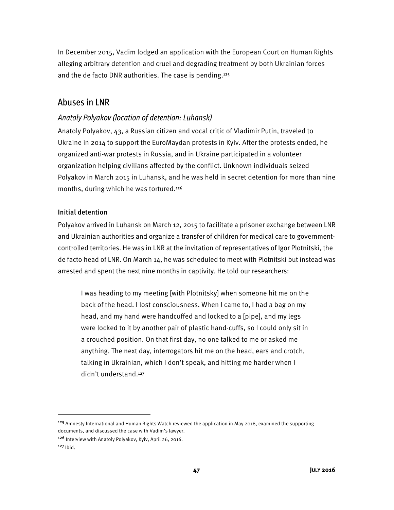In December 2015, Vadim lodged an application with the European Court on Human Rights alleging arbitrary detention and cruel and degrading treatment by both Ukrainian forces and the de facto DNR authorities. The case is pending.<sup>125</sup>

#### Abuses in LNR

#### Anatoly Polyakov (location of detention: Luhansk)

Anatoly Polyakov, 43, a Russian citizen and vocal critic of Vladimir Putin, traveled to Ukraine in 2014 to support the EuroMaydan protests in Kyiv. After the protests ended, he organized anti-war protests in Russia, and in Ukraine participated in a volunteer organization helping civilians affected by the conflict. Unknown individuals seized Polyakov in March 2015 in Luhansk, and he was held in secret detention for more than nine months, during which he was tortured.<sup>126</sup>

#### Initial detention

Polyakov arrived in Luhansk on March 12, 2015 to facilitate a prisoner exchange between LNR and Ukrainian authorities and organize a transfer of children for medical care to governmentcontrolled territories. He was in LNR at the invitation of representatives of Igor Plotnitski, the de facto head of LNR. On March 14, he was scheduled to meet with Plotnitski but instead was arrested and spent the next nine months in captivity. He told our researchers:

I was heading to my meeting [with Plotnitsky] when someone hit me on the back of the head. I lost consciousness. When I came to, I had a bag on my head, and my hand were handcuffed and locked to a [pipe], and my legs were locked to it by another pair of plastic hand-cuffs, so I could only sit in a crouched position. On that first day, no one talked to me or asked me anything. The next day, interrogators hit me on the head, ears and crotch, talking in Ukrainian, which I don't speak, and hitting me harder when I didn't understand.<sup>127</sup>

l

<sup>&</sup>lt;sup>125</sup> Amnesty International and Human Rights Watch reviewed the application in May 2016, examined the supporting documents, and discussed the case with Vadim's lawyer.

<sup>126</sup> Interview with Anatoly Polyakov, Kyiv, April 26, 2016.

 $127$  Ibid.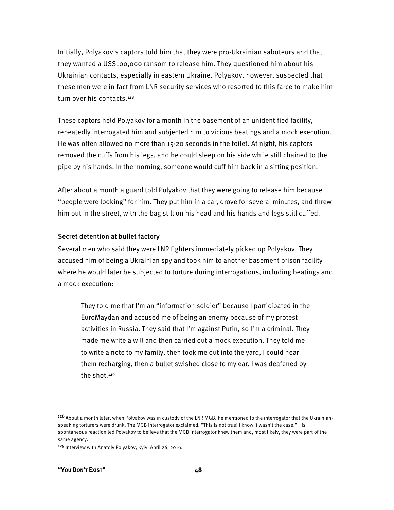Initially, Polyakov's captors told him that they were pro-Ukrainian saboteurs and that they wanted a US\$100,000 ransom to release him. They questioned him about his Ukrainian contacts, especially in eastern Ukraine. Polyakov, however, suspected that these men were in fact from LNR security services who resorted to this farce to make him turn over his contacts.<sup>128</sup>

These captors held Polyakov for a month in the basement of an unidentified facility, repeatedly interrogated him and subjected him to vicious beatings and a mock execution. He was often allowed no more than 15-20 seconds in the toilet. At night, his captors removed the cuffs from his legs, and he could sleep on his side while still chained to the pipe by his hands. In the morning, someone would cuff him back in a sitting position.

After about a month a guard told Polyakov that they were going to release him because "people were looking" for him. They put him in a car, drove for several minutes, and threw him out in the street, with the bag still on his head and his hands and legs still cuffed.

#### Secret detention at bullet factory

Several men who said they were LNR fighters immediately picked up Polyakov. They accused him of being a Ukrainian spy and took him to another basement prison facility where he would later be subjected to torture during interrogations, including beatings and a mock execution:

They told me that I'm an "information soldier" because I participated in the EuroMaydan and accused me of being an enemy because of my protest activities in Russia. They said that I'm against Putin, so I'm a criminal. They made me write a will and then carried out a mock execution. They told me to write a note to my family, then took me out into the yard, I could hear them recharging, then a bullet swished close to my ear. I was deafened by the shot.<sup>129</sup>

l

<sup>128</sup> About a month later, when Polyakov was in custody of the LNR MGB, he mentioned to the interrogator that the Ukrainianspeaking torturers were drunk. The MGB interrogator exclaimed, "This is not true! I know it wasn't the case." His spontaneous reaction led Polyakov to believe that the MGB interrogator knew them and, most likely, they were part of the same agency.

<sup>&</sup>lt;sup>129</sup> Interview with Anatoly Polyakov, Kyiv, April 26, 2016.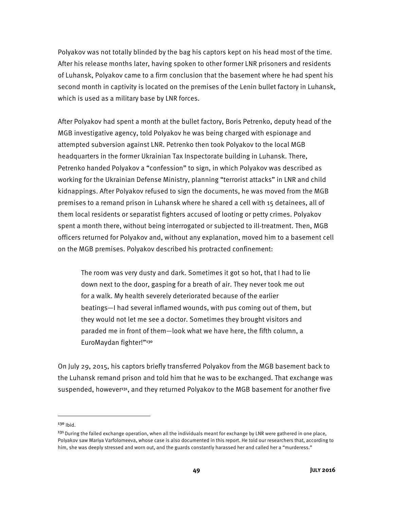Polyakov was not totally blinded by the bag his captors kept on his head most of the time. After his release months later, having spoken to other former LNR prisoners and residents of Luhansk, Polyakov came to a firm conclusion that the basement where he had spent his second month in captivity is located on the premises of the Lenin bullet factory in Luhansk, which is used as a military base by LNR forces.

After Polyakov had spent a month at the bullet factory, Boris Petrenko, deputy head of the MGB investigative agency, told Polyakov he was being charged with espionage and attempted subversion against LNR. Petrenko then took Polyakov to the local MGB headquarters in the former Ukrainian Tax Inspectorate building in Luhansk. There, Petrenko handed Polyakov a "confession" to sign, in which Polyakov was described as working for the Ukrainian Defense Ministry, planning "terrorist attacks" in LNR and child kidnappings. After Polyakov refused to sign the documents, he was moved from the MGB premises to a remand prison in Luhansk where he shared a cell with 15 detainees, all of them local residents or separatist fighters accused of looting or petty crimes. Polyakov spent a month there, without being interrogated or subjected to ill-treatment. Then, MGB officers returned for Polyakov and, without any explanation, moved him to a basement cell on the MGB premises. Polyakov described his protracted confinement:

The room was very dusty and dark. Sometimes it got so hot, that I had to lie down next to the door, gasping for a breath of air. They never took me out for a walk. My health severely deteriorated because of the earlier beatings—I had several inflamed wounds, with pus coming out of them, but they would not let me see a doctor. Sometimes they brought visitors and paraded me in front of them—look what we have here, the fifth column, a EuroMaydan fighter!"<sup>130</sup>

On July 29, 2015, his captors briefly transferred Polyakov from the MGB basement back to the Luhansk remand prison and told him that he was to be exchanged. That exchange was suspended, however<sup>131</sup>, and they returned Polyakov to the MGB basement for another five

 $130$  lbid.

 $131$  During the failed exchange operation, when all the individuals meant for exchange by LNR were gathered in one place, Polyakov saw Mariya Varfolomeeva, whose case is also documented in this report. He told our researchers that, according to him, she was deeply stressed and worn out, and the guards constantly harassed her and called her a "murderess."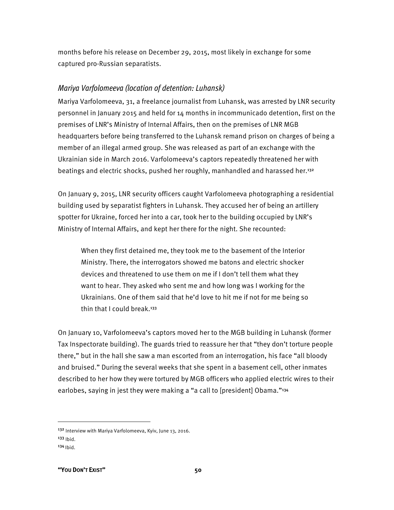months before his release on December 29, 2015, most likely in exchange for some captured pro-Russian separatists.

#### Mariya Varfolomeeva (location of detention: Luhansk)

Mariya Varfolomeeva, 31, a freelance journalist from Luhansk, was arrested by LNR security personnel in January 2015 and held for 14 months in incommunicado detention, first on the premises of LNR's Ministry of Internal Affairs, then on the premises of LNR MGB headquarters before being transferred to the Luhansk remand prison on charges of being a member of an illegal armed group. She was released as part of an exchange with the Ukrainian side in March 2016. Varfolomeeva's captors repeatedly threatened her with beatings and electric shocks, pushed her roughly, manhandled and harassed her.<sup>132</sup>

On January 9, 2015, LNR security officers caught Varfolomeeva photographing a residential building used by separatist fighters in Luhansk. They accused her of being an artillery spotter for Ukraine, forced her into a car, took her to the building occupied by LNR's Ministry of Internal Affairs, and kept her there for the night. She recounted:

When they first detained me, they took me to the basement of the Interior Ministry. There, the interrogators showed me batons and electric shocker devices and threatened to use them on me if I don't tell them what they want to hear. They asked who sent me and how long was I working for the Ukrainians. One of them said that he'd love to hit me if not for me being so thin that I could break.<sup>133</sup>

On January 10, Varfolomeeva's captors moved her to the MGB building in Luhansk (former Tax Inspectorate building). The guards tried to reassure her that "they don't torture people there," but in the hall she saw a man escorted from an interrogation, his face "all bloody and bruised." During the several weeks that she spent in a basement cell, other inmates described to her how they were tortured by MGB officers who applied electric wires to their earlobes, saying in jest they were making a "a call to [president] Obama."<sup>134</sup>

**.** 

<sup>132</sup> Interview with Mariya Varfolomeeva, Kyiv, June 13, 2016.

 $133$  Ibid.

 $134$  Ibid.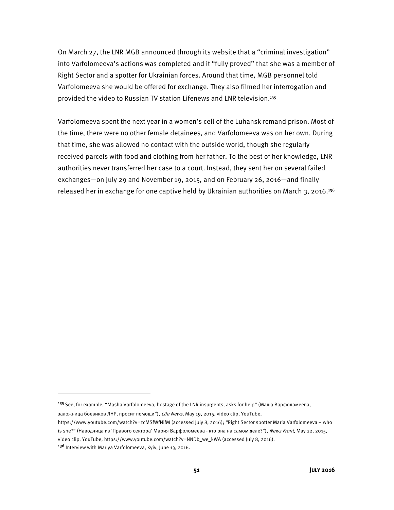On March 27, the LNR MGB announced through its website that a "criminal investigation" into Varfolomeeva's actions was completed and it "fully proved" that she was a member of Right Sector and a spotter for Ukrainian forces. Around that time, MGB personnel told Varfolomeeva she would be offered for exchange. They also filmed her interrogation and provided the video to Russian TV station Lifenews and LNR television.<sup>135</sup>

Varfolomeeva spent the next year in a women's cell of the Luhansk remand prison. Most of the time, there were no other female detainees, and Varfolomeeva was on her own. During that time, she was allowed no contact with the outside world, though she regularly received parcels with food and clothing from her father. To the best of her knowledge, LNR authorities never transferred her case to a court. Instead, they sent her on several failed exchanges—on July 29 and November 19, 2015, and on February 26, 2016—and finally released her in exchange for one captive held by Ukrainian authorities on March 3, 2016.<sup>136</sup>

заложница боевиков ЛНР, просит помощи"), Life News, May 19, 2015, video clip, YouTube,

 $\overline{a}$ 

<sup>&</sup>lt;sup>135</sup> See, for example, "Masha Varfolomeeva, hostage of the LNR insurgents, asks for help" (Маша Варфоломеева,

https://www.youtube.com/watch?v=zcMSfWfNifM (accessed July 8, 2016); "Right Sector spotter Maria Varfolomeeva – who is she?" (Наводчица из 'Правого сектора' Мария Варфоломеева - кто она на самом деле?"), News Front, May 22, 2015, video clip, YouTube, https://www.youtube.com/watch?v=NNDb\_we\_kWA (accessed July 8, 2016).

<sup>&</sup>lt;sup>136</sup> Interview with Mariya Varfolomeeva, Kyiv, June 13, 2016.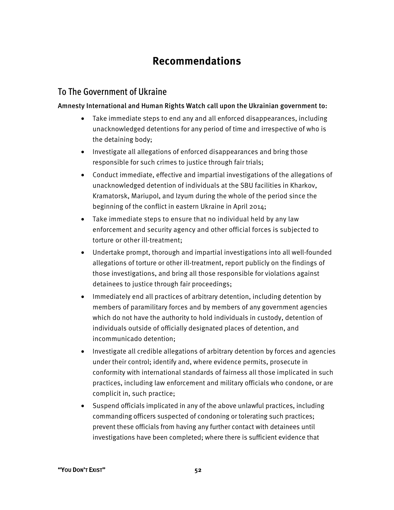## **Recommendations**

#### To The Government of Ukraine

#### Amnesty International and Human Rights Watch call upon the Ukrainian government to:

- Take immediate steps to end any and all enforced disappearances, including unacknowledged detentions for any period of time and irrespective of who is the detaining body;
- Investigate all allegations of enforced disappearances and bring those responsible for such crimes to justice through fair trials;
- Conduct immediate, effective and impartial investigations of the allegations of unacknowledged detention of individuals at the SBU facilities in Kharkov, Kramatorsk, Mariupol, and Izyum during the whole of the period since the beginning of the conflict in eastern Ukraine in April 2014;
- Take immediate steps to ensure that no individual held by any law enforcement and security agency and other official forces is subjected to torture or other ill-treatment;
- Undertake prompt, thorough and impartial investigations into all well-founded allegations of torture or other ill-treatment, report publicly on the findings of those investigations, and bring all those responsible for violations against detainees to justice through fair proceedings;
- Immediately end all practices of arbitrary detention, including detention by members of paramilitary forces and by members of any government agencies which do not have the authority to hold individuals in custody, detention of individuals outside of officially designated places of detention, and incommunicado detention;
- Investigate all credible allegations of arbitrary detention by forces and agencies under their control; identify and, where evidence permits, prosecute in conformity with international standards of fairness all those implicated in such practices, including law enforcement and military officials who condone, or are complicit in, such practice;
- Suspend officials implicated in any of the above unlawful practices, including commanding officers suspected of condoning or tolerating such practices; prevent these officials from having any further contact with detainees until investigations have been completed; where there is sufficient evidence that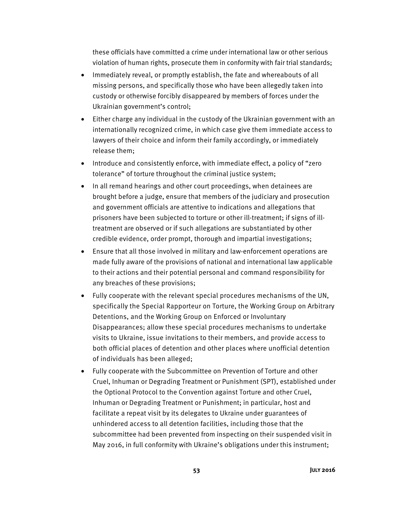these officials have committed a crime under international law or other serious violation of human rights, prosecute them in conformity with fair trial standards;

- Immediately reveal, or promptly establish, the fate and whereabouts of all missing persons, and specifically those who have been allegedly taken into custody or otherwise forcibly disappeared by members of forces under the Ukrainian government's control;
- Either charge any individual in the custody of the Ukrainian government with an internationally recognized crime, in which case give them immediate access to lawyers of their choice and inform their family accordingly, or immediately release them;
- Introduce and consistently enforce, with immediate effect, a policy of "zero tolerance" of torture throughout the criminal justice system;
- In all remand hearings and other court proceedings, when detainees are brought before a judge, ensure that members of the judiciary and prosecution and government officials are attentive to indications and allegations that prisoners have been subjected to torture or other ill-treatment; if signs of illtreatment are observed or if such allegations are substantiated by other credible evidence, order prompt, thorough and impartial investigations;
- Ensure that all those involved in military and law-enforcement operations are made fully aware of the provisions of national and international law applicable to their actions and their potential personal and command responsibility for any breaches of these provisions;
- Fully cooperate with the relevant special procedures mechanisms of the UN, specifically the Special Rapporteur on Torture, the Working Group on Arbitrary Detentions, and the Working Group on Enforced or Involuntary Disappearances; allow these special procedures mechanisms to undertake visits to Ukraine, issue invitations to their members, and provide access to both official places of detention and other places where unofficial detention of individuals has been alleged;
- Fully cooperate with the Subcommittee on Prevention of Torture and other Cruel, Inhuman or Degrading Treatment or Punishment (SPT), established under the Optional Protocol to the Convention against Torture and other Cruel, Inhuman or Degrading Treatment or Punishment; in particular, host and facilitate a repeat visit by its delegates to Ukraine under guarantees of unhindered access to all detention facilities, including those that the subcommittee had been prevented from inspecting on their suspended visit in May 2016, in full conformity with Ukraine's obligations under this instrument;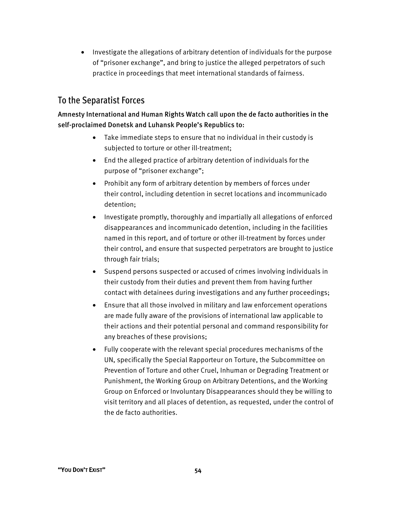• Investigate the allegations of arbitrary detention of individuals for the purpose of "prisoner exchange", and bring to justice the alleged perpetrators of such practice in proceedings that meet international standards of fairness.

#### To the Separatist Forces

#### Amnesty International and Human Rights Watch call upon the de facto authorities in the self-proclaimed Donetsk and Luhansk People's Republics to:

- Take immediate steps to ensure that no individual in their custody is subjected to torture or other ill-treatment;
- End the alleged practice of arbitrary detention of individuals for the purpose of "prisoner exchange";
- Prohibit any form of arbitrary detention by members of forces under their control, including detention in secret locations and incommunicado detention;
- Investigate promptly, thoroughly and impartially all allegations of enforced disappearances and incommunicado detention, including in the facilities named in this report, and of torture or other ill-treatment by forces under their control, and ensure that suspected perpetrators are brought to justice through fair trials;
- Suspend persons suspected or accused of crimes involving individuals in their custody from their duties and prevent them from having further contact with detainees during investigations and any further proceedings;
- Ensure that all those involved in military and law enforcement operations are made fully aware of the provisions of international law applicable to their actions and their potential personal and command responsibility for any breaches of these provisions;
- Fully cooperate with the relevant special procedures mechanisms of the UN, specifically the Special Rapporteur on Torture, the Subcommittee on Prevention of Torture and other Cruel, Inhuman or Degrading Treatment or Punishment, the Working Group on Arbitrary Detentions, and the Working Group on Enforced or Involuntary Disappearances should they be willing to visit territory and all places of detention, as requested, under the control of the de facto authorities.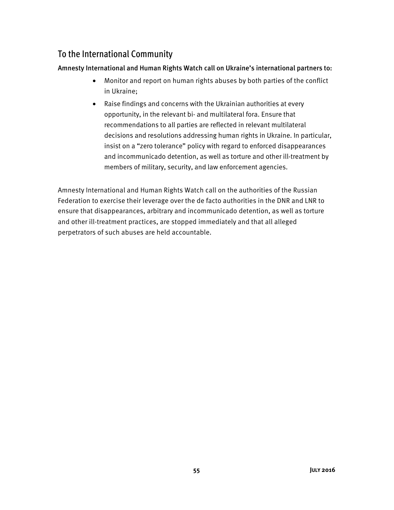### To the International Community

#### Amnesty International and Human Rights Watch call on Ukraine's international partners to:

- Monitor and report on human rights abuses by both parties of the conflict in Ukraine;
- Raise findings and concerns with the Ukrainian authorities at every opportunity, in the relevant bi- and multilateral fora. Ensure that recommendations to all parties are reflected in relevant multilateral decisions and resolutions addressing human rights in Ukraine. In particular, insist on a "zero tolerance" policy with regard to enforced disappearances and incommunicado detention, as well as torture and other ill-treatment by members of military, security, and law enforcement agencies.

Amnesty International and Human Rights Watch call on the authorities of the Russian Federation to exercise their leverage over the de facto authorities in the DNR and LNR to ensure that disappearances, arbitrary and incommunicado detention, as well as torture and other ill-treatment practices, are stopped immediately and that all alleged perpetrators of such abuses are held accountable.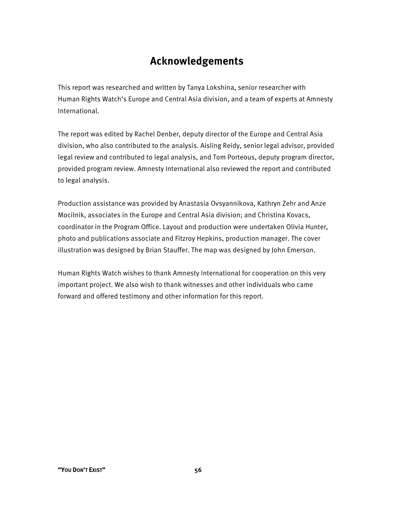## **Acknowledgements**

This report was researched and written by Tanya Lokshina, senior researcher with Human Rights Watch's Europe and Central Asia division, and a team of experts at Amnesty International.

The report was edited by Rachel Denber, deputy director of the Europe and Central Asia division, who also contributed to the analysis. Aisling Reidy, senior legal advisor, provided legal review and contributed to legal analysis, and Tom Porteous, deputy program director, provided program review. Amnesty International also reviewed the report and contributed to legal analysis.

Production assistance was provided by Anastasia Ovsyannikova, Kathryn Zehr and Anze Mocilnik, associates in the Europe and Central Asia division; and Christina Kovacs, coordinator in the Program Office. Layout and production were undertaken Olivia Hunter, photo and publications associate and Fitzroy Hepkins, production manager. The cover illustration was designed by Brian Stauffer. The map was designed by John Emerson.

Human Rights Watch wishes to thank Amnesty International for cooperation on this very important project. We also wish to thank witnesses and other individuals who came forward and offered testimony and other information for this report.